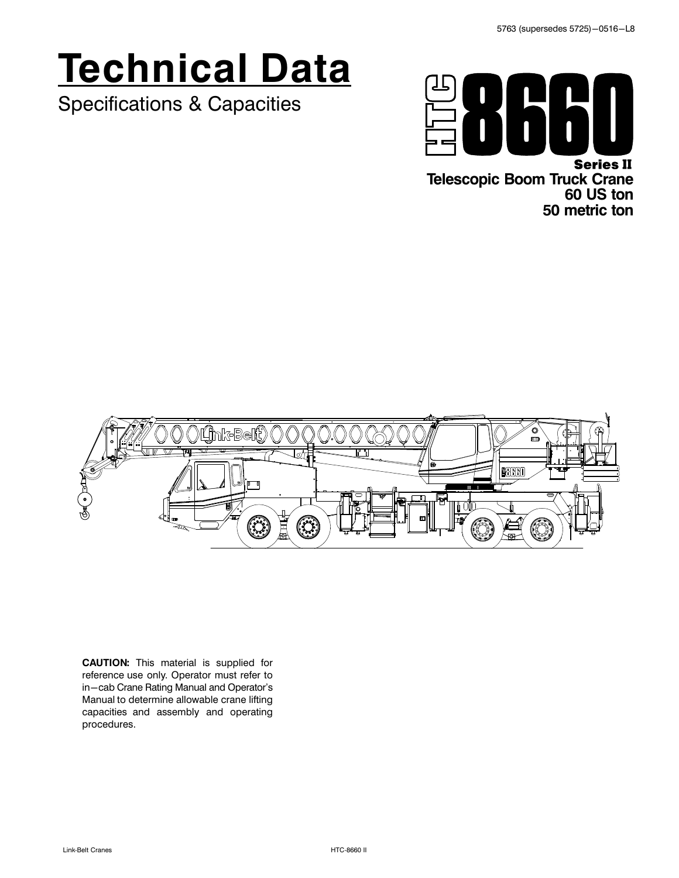# **Technical Data**

Specifications & Capacities





**CAUTION:** This material is supplied for reference use only. Operator must refer to in-cab Crane Rating Manual and Operator's Manual to determine allowable crane lifting capacities and assembly and operating procedures.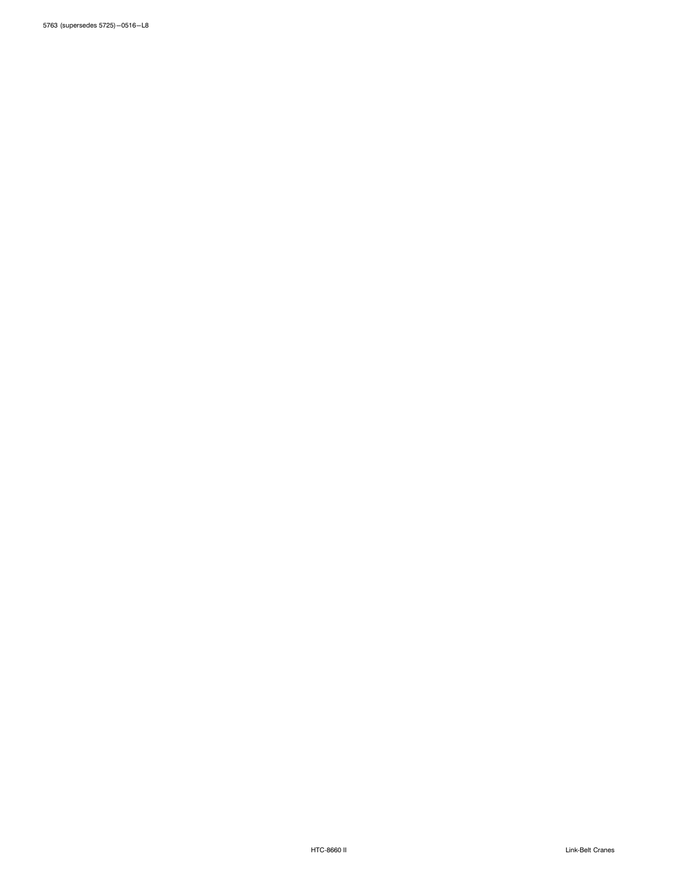5763 (supersedes 5725)-0516-L8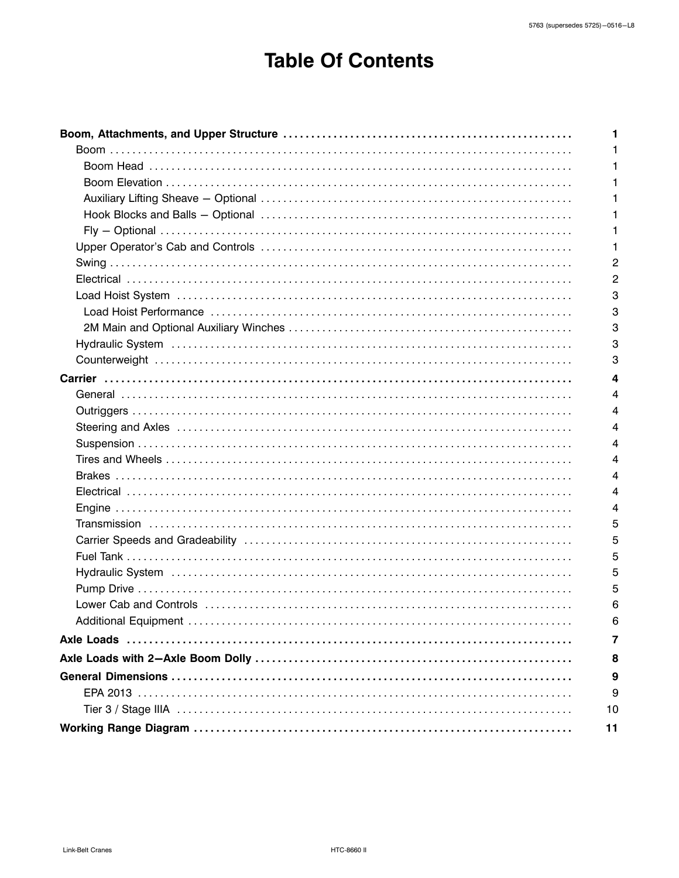## **Table Of Contents**

|    | 1              |
|----|----------------|
|    | 1              |
|    |                |
|    |                |
|    |                |
|    | 1              |
|    | 1              |
|    | 2              |
|    | $\overline{2}$ |
|    | 3              |
|    | 3              |
|    | 3              |
|    | 3              |
|    | 3              |
|    | 4              |
|    | 4              |
|    | 4              |
|    | 4              |
|    | 4              |
|    | 4              |
|    | 4              |
|    | 4              |
|    | 4              |
|    | 5              |
|    | 5              |
|    | 5              |
|    | 5              |
|    | 5              |
|    | 6              |
|    | 6              |
|    | 7              |
|    | 8              |
|    | 9              |
|    | 9              |
| 10 |                |
| 11 |                |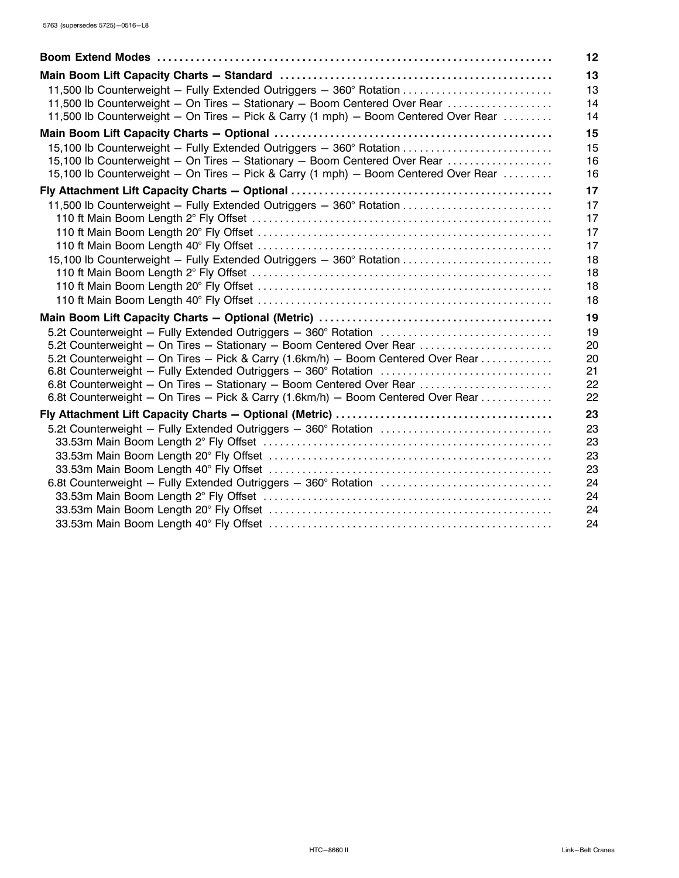|                                                                                                                                                          | 12       |
|----------------------------------------------------------------------------------------------------------------------------------------------------------|----------|
|                                                                                                                                                          | 13       |
| 11,500 lb Counterweight - Fully Extended Outriggers - 360° Rotation                                                                                      | 13       |
| 11,500 lb Counterweight - On Tires - Stationary - Boom Centered Over Rear                                                                                | 14       |
| 11,500 lb Counterweight - On Tires - Pick & Carry (1 mph) - Boom Centered Over Rear                                                                      | 14       |
|                                                                                                                                                          | 15       |
| 15,100 lb Counterweight - Fully Extended Outriggers - 360° Rotation                                                                                      | 15       |
| 15,100 lb Counterweight - On Tires - Stationary - Boom Centered Over Rear                                                                                | 16       |
| 15,100 lb Counterweight - On Tires - Pick & Carry (1 mph) - Boom Centered Over Rear                                                                      | 16       |
|                                                                                                                                                          | 17       |
| 11,500 lb Counterweight - Fully Extended Outriggers - 360° Rotation                                                                                      | 17       |
|                                                                                                                                                          | 17       |
|                                                                                                                                                          | 17       |
|                                                                                                                                                          | 17       |
| 15,100 lb Counterweight - Fully Extended Outriggers - 360° Rotation                                                                                      | 18       |
|                                                                                                                                                          | 18       |
|                                                                                                                                                          | 18       |
|                                                                                                                                                          | 18       |
|                                                                                                                                                          | 19       |
|                                                                                                                                                          | 19       |
| 5.2t Counterweight - On Tires - Stationary - Boom Centered Over Rear                                                                                     | 20       |
| 5.2t Counterweight - On Tires - Pick & Carry (1.6km/h) - Boom Centered Over Rear                                                                         | 20       |
|                                                                                                                                                          | 21<br>22 |
| 6.8t Counterweight - On Tires - Stationary - Boom Centered Over Rear<br>6.8t Counterweight - On Tires - Pick & Carry (1.6km/h) - Boom Centered Over Rear | 22       |
|                                                                                                                                                          |          |
|                                                                                                                                                          | 23       |
|                                                                                                                                                          | 23<br>23 |
|                                                                                                                                                          | 23       |
|                                                                                                                                                          | 23       |
|                                                                                                                                                          | 24       |
|                                                                                                                                                          | 24       |
|                                                                                                                                                          | 24       |
|                                                                                                                                                          | 24       |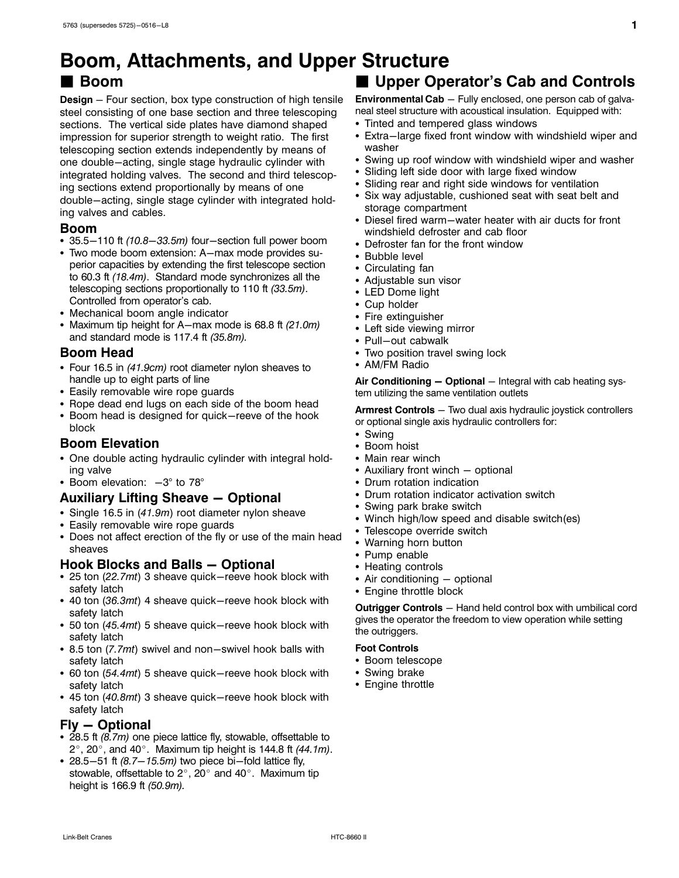## <span id="page-4-0"></span>**Boom, Attachments, and Upper Structure**

### - **Boom**

**Design** - Four section, box type construction of high tensile steel consisting of one base section and three telescoping sections. The vertical side plates have diamond shaped impression for superior strength to weight ratio. The first telescoping section extends independently by means of one double-acting, single stage hydraulic cylinder with integrated holding valves. The second and third telescoping sections extend proportionally by means of one double-acting, single stage cylinder with integrated holding valves and cables.

#### **Boom**

- 35.5-110 ft *(10.8-33.5m)* four-section full power boom
- Two mode boom extension: A-max mode provides superior capacities by extending the first telescope section to 60.3 ft *(18.4m)*. Standard mode synchronizes all the telescoping sections proportionally to 110 ft *(33.5m)*. Controlled from operator's cab.
- Mechanical boom angle indicator
- Maximum tip height for A-max mode is 68.8 ft  $(21.0m)$ <br>and standard mode is 117.4 ft  $(35.8m)$ and standard mode is 117.4 ft *(35.8m).*

#### **Boom Head**

- Four 16.5 in *(41.9cm)* root diameter nylon sheaves to handle up to eight parts of line
- Easily removable wire rope guards
- Rope dead end lugs on each side of the boom head
- Boom head is designed for quick-reeve of the hook block

#### **Boom Elevation**

- One double acting hydraulic cylinder with integral holding valve
- $\bullet$  Boom elevation:  $-3^{\circ}$  to 78°

#### **Auxiliary Lifting Sheave - Optional**

- Single 16.5 in (*41.9m*) root diameter nylon sheave
- Easily removable wire rope guards
- Does not affect erection of the fly or use of the main head sheaves

#### **Hook Blocks and Balls - Optional**

- 25 ton (*22.7mt*) 3 sheave quick-reeve hook block with safety latch
- 40 ton (*36.3mt*) 4 sheave quick-reeve hook block with safety latch
- 50 ton (*45.4mt*) 5 sheave quick-reeve hook block with safety latch
- 8.5 ton (*7.7mt*) swivel and non-swivel hook balls with safety latch
- 60 ton (54.4mt) 5 sheave quick-reeve hook block with<br>safety latch safety latch
- 45 ton (*40.8mt*) 3 sheave quick-reeve hook block with safety latch

### **Fly - Optional**

- - 28.5 ft *(8.7m)* one piece lattice fly, stowable, offsettable to <sup>2</sup>, 20, and 40. Maximum tip height is 144.8 ft *(44.1m)*.
- $28.5 51$  ft  $(8.7 15.5m)$  two piece bi-fold lattice fly,<br>stowable, offsettable to 2°, 20° and 40°. Maximum stowable, offsettable to  $2^{\circ}$ ,  $20^{\circ}$  and  $40^{\circ}$ . Maximum tip height is 166.9 ft *(50.9m).*

## $\blacksquare$  **Upper Operator's Cab and Controls**

**Environmental Cab** - Fully enclosed, one person cab of galvaneal steel structure with acoustical insulation. Equipped with:

- Tinted and tempered glass windows
- Extra-large fixed front window with windshield wiper and washer
- Swing up roof window with windshield wiper and washer
- $\bullet$ Sliding left side door with large fixed window
- -Sliding rear and right side windows for ventilation
- - Six way adjustable, cushioned seat with seat belt and storage compartment
- $\bullet$  Diesel fired warm-water heater with air ducts for front windshield defroster and cab floor
- $\bullet$ Defroster fan for the front window
- Bubble level
- Circulating fan
- Adjustable sun visor
- LED Dome light
- Cup holder
- Fire extinguisher
- Left side viewing mirror
- Pull-out cabwalk
- Two position travel swing lock
- AM/FM Radio

Air Conditioning - Optional - Integral with cab heating system utilizing the same ventilation outlets

#### **Armrest Controls** - Two dual axis hydraulic joystick controllers or optional single axis hydraulic controllers for:

- Swing
- Boom hoist
- Main rear winch
- Auxiliary front winch optional
- -Drum rotation indication
- Drum rotation indicator activation switch
- -Swing park brake switch
- Winch high/low speed and disable switch(es)
- -Telescope override switch
- $\bullet$ Warning horn button
- Pump enable
- Heating controls
- Air conditioning optional
- Engine throttle block

**Outrigger Controls** - Hand held control box with umbilical cord gives the operator the freedom to view operation while setting the outriggers.

#### **Foot Controls**

- Boom telescope
- Swing brake
- Engine throttle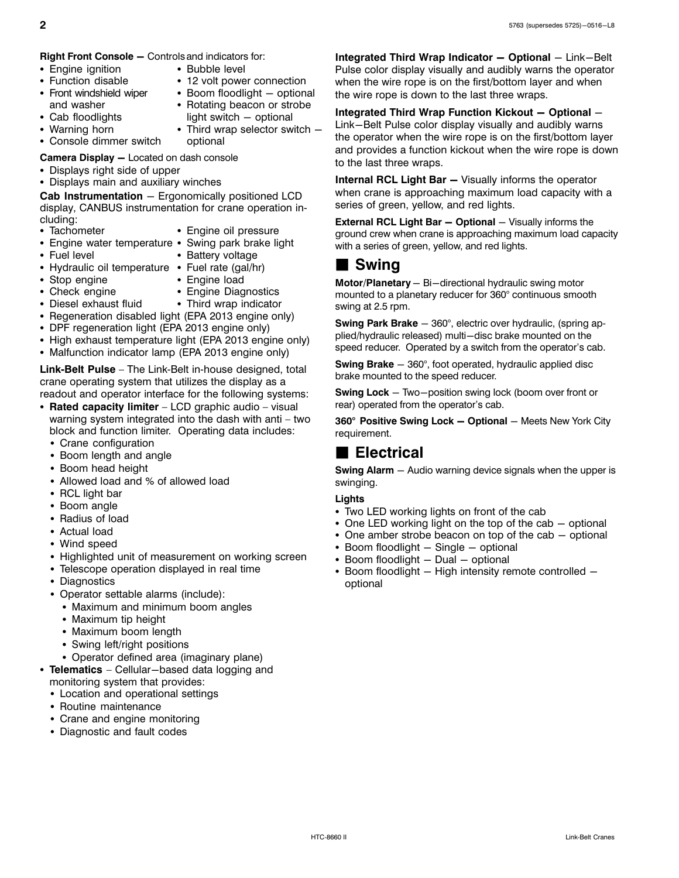#### <span id="page-5-0"></span>**Right Front Console - Controls and indicators for:**

- Engine ignition •
- Function disable •
- Front windshield wiper and washer **.**
- Bubble level • 12 volt power connection
	- $\bullet$  Boom floodlight  $-$  optional
	- Rotating beacon or strobe
- Cab floodlights
- Warning horn •
- $light$  switch  $-$  optional Third wrap selector switch  $-$ - Console dimmer switch optional
- **Camera Display Located on dash console**
- Displays right side of upper
- Displays main and auxiliary winches

**Cab Instrumentation** - Ergonomically positioned LCD display, CANBUS instrumentation for crane operation including:

- Tachometer
	- Engine oil pressure
- 
- Engine water temperature · Swing park brake light
- Fuel level •
- 
- Hydraulic oil temperature Fuel rate (gal/hr)
	- Engine load
- Stop engine \*\*\*\*\*\*\*\*\*\*\*\*\*\*\*\*\*\* • Check engine •
	- Engine Diagnostics
- Diesel exhaust fluid • Third wrap indicator
- Regeneration disabled light (EPA 2013 engine only)
- DPF regeneration light (EPA 2013 engine only)
- High exhaust temperature light (EPA 2013 engine only)
- Malfunction indicator lamp (EPA 2013 engine only)

**Link-Belt Pulse** – The Link-Belt in-house designed, total crane operating system that utilizes the display as a readout and operator interface for the following systems:

- $\bullet$ **Rated capacity limiter** – LCD graphic audio – visual warning system integrated into the dash with anti – two block and function limiter. Operating data includes:
	- Crane configuration
	- Boom length and angle
	- Boom head height
	- Allowed load and % of allowed load
	- RCL light bar
	- Boom angle
	- Radius of load
	- Actual load
	- Wind speed
	- Highlighted unit of measurement on working screen
	- Telescope operation displayed in real time
	- Diagnostics
	- Operator settable alarms (include):
		- Maximum and minimum boom angles
		- Maximum tip height
		- Maximum boom length
		- Swing left/right positions
	- Operator defined area (imaginary plane)
- **Telematics** Cellular-based data logging and monitoring system that provides:
	- Location and operational settings
	- Routine maintenance
	- Crane and engine monitoring
	- Diagnostic and fault codes

**Integrated Third Wrap Indicator - Optional** - Link-Belt Pulse color display visually and audibly warns the operator when the wire rope is on the first/bottom layer and when the wire rope is down to the last three wraps.

**Integrated Third Wrap Function Kickout - Optional -**Link-Belt Pulse color display visually and audibly warns the operator when the wire rope is on the first/bottom layer and provides a function kickout when the wire rope is down to the last three wraps.

**Internal RCL Light Bar - Visually informs the operator** when crane is approaching maximum load capacity with a series of green, yellow, and red lights.

**External RCL Light Bar - Optional** - Visually informs the ground crew when crane is approaching maximum load capacity with a series of green, yellow, and red lights.

### $\blacksquare$  Swing

**Motor/Planetary** - Bi-directional hydraulic swing motor mounted to a planetary reducer for 360° continuous smooth swing at 2.5 rpm.

**Swing Park Brake** - 360°, electric over hydraulic, (spring applied/hydraulic released) multi-disc brake mounted on the speed reducer. Operated by a switch from the operator's cab.

**Swing Brake** - 360°, foot operated, hydraulic applied disc brake mounted to the speed reducer.

**Swing Lock** - Two-position swing lock (boom over front or rear) operated from the operator's cab.

**360° Positive Swing Lock - Optional** - Meets New York City requirement.

### - **Electrical**

**Swing Alarm** – Audio warning device signals when the upper is swinging.

#### **Lights**

- Two LED working lights on front of the cab
- One LED working light on the top of the cab optional
- One amber strobe beacon on top of the cab optional
- Boom floodlight Single optional
- Boom floodlight Dual optional
- Boom floodlight High intensity remote controlled optional

• Battery voltage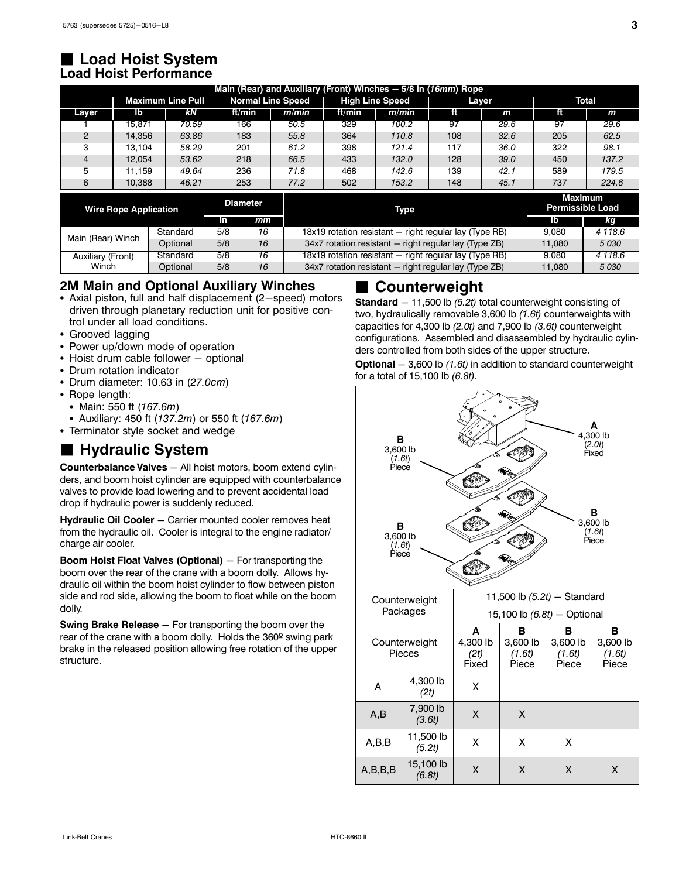### <span id="page-6-0"></span>- **Load Hoist System Load Hoist Performance**

|                                            | Main (Rear) and Auxiliary (Front) Winches $-5/8$ in (16mm) Rope |                          |                          |                 |       |                                                                   |                                                        |     |              |                |                         |  |  |  |
|--------------------------------------------|-----------------------------------------------------------------|--------------------------|--------------------------|-----------------|-------|-------------------------------------------------------------------|--------------------------------------------------------|-----|--------------|----------------|-------------------------|--|--|--|
|                                            |                                                                 | <b>Maximum Line Pull</b> | <b>Normal Line Speed</b> |                 |       |                                                                   | <b>High Line Speed</b>                                 |     | Laver        | Total          |                         |  |  |  |
| Layer                                      | lb                                                              | kΝ                       |                          | ft/min          | m/min | ft/min                                                            | m/min                                                  | ft  | $\mathbf{m}$ | ft             | m                       |  |  |  |
|                                            | 15.871                                                          | 70.59                    |                          | 166             | 50.5  | 329                                                               | 100.2                                                  | 97  | 29.6         | 97             | 29.6                    |  |  |  |
| 2                                          | 14.356                                                          | 63.86                    |                          | 183             | 55.8  | 364                                                               | 110.8                                                  | 108 | 32.6         | 205            | 62.5                    |  |  |  |
| 3                                          | 13,104                                                          | 58.29                    |                          | 201             | 61.2  | 398                                                               | 121.4                                                  | 117 | 36.0         | 322            | 98.1                    |  |  |  |
| $\overline{4}$                             | 12.054                                                          | 53.62                    |                          | 218             | 66.5  | 433                                                               | 132.0                                                  | 128 | 39.0         | 450            | 137.2                   |  |  |  |
| 5                                          | 11.159                                                          | 49.64                    |                          | 236             | 71.8  | 468                                                               | 142.6                                                  | 139 | 42.1         | 589            | 179.5                   |  |  |  |
| 6                                          | 10,388                                                          | 46.21                    |                          | 253             | 77.2  | 502                                                               | 153.2                                                  | 148 | 45.1         | 737            | 224.6                   |  |  |  |
|                                            |                                                                 |                          |                          |                 |       |                                                                   |                                                        |     |              | <b>Maximum</b> |                         |  |  |  |
|                                            | <b>Wire Rope Application</b>                                    |                          |                          | <b>Diameter</b> |       | <b>Type</b>                                                       |                                                        |     |              |                | <b>Permissible Load</b> |  |  |  |
|                                            |                                                                 |                          | in                       | mm              |       |                                                                   |                                                        |     |              | lb             | kg                      |  |  |  |
| Main (Rear) Winch                          |                                                                 | Standard                 | 5/8                      | 16              |       |                                                                   | 18x19 rotation resistant - right regular lay (Type RB) |     |              | 9,080          | 4 118.6                 |  |  |  |
|                                            |                                                                 | Optional                 | 5/8                      | 16              |       |                                                                   | 34x7 rotation resistant – right regular lay (Type ZB)  |     |              | 11,080         | 5030                    |  |  |  |
| 5/8<br>16<br>Standard<br>Auxiliary (Front) |                                                                 |                          |                          |                 |       | 18x19 rotation resistant $-$ right regular lay (Type RB)<br>9.080 |                                                        |     |              |                |                         |  |  |  |
| Winch                                      |                                                                 | Optional                 | 5/8                      | 16              |       |                                                                   | 34x7 rotation resistant – right regular lay (Type ZB)  |     |              | 11.080         | 5030                    |  |  |  |

### **2M Main and Optional Auxiliary Winches**

- Axial piston, full and half displacement (2-speed) motors driven through planetary reduction unit for positive control under all load conditions.
- Grooved lagging
- Power up/down mode of operation
- Hoist drum cable follower optional
- Drum rotation indicator
- Drum diameter: 10.63 in (*27.0cm*)
- Rope length:
	- Main: 550 ft (*167.6m*)
- Auxiliary: 450 ft (*137.2m*) or 550 ft (*167.6m*)
- Terminator style socket and wedge

## - **Hydraulic System**

**Counterbalance Valves** - All hoist motors, boom extend cylinders, and boom hoist cylinder are equipped with counterbalance valves to provide load lowering and to prevent accidental load drop if hydraulic power is suddenly reduced.

**Hydraulic Oil Cooler** - Carrier mounted cooler removes heat from the hydraulic oil. Cooler is integral to the engine radiator/ charge air cooler.

**Boom Hoist Float Valves (Optional)** - For transporting the boom over the rear of the crane with a boom dolly. Allows hydraulic oil within the boom hoist cylinder to flow between piston side and rod side, allowing the boom to float while on the boom dolly.

**Swing Brake Release** - For transporting the boom over the rear of the crane with a boom dolly. Holds the 360º swing park brake in the released position allowing free rotation of the upper structure.

## **E** Counterweight

**Standard** - 11,500 lb (5.2t) total counterweight consisting of two, hydraulically removable 3,600 lb *(1.6t)* counterweights with capacities for 4,300 lb *(2.0t)* and 7,900 lb *(3.6t)* counterweight configurations. Assembled and disassembled by hydraulic cylinders controlled from both sides of the upper structure.

**Optional** - 3,600 lb (1.6t) in addition to standard counterweight for a total of 15,100 lb *(6.8t)*.

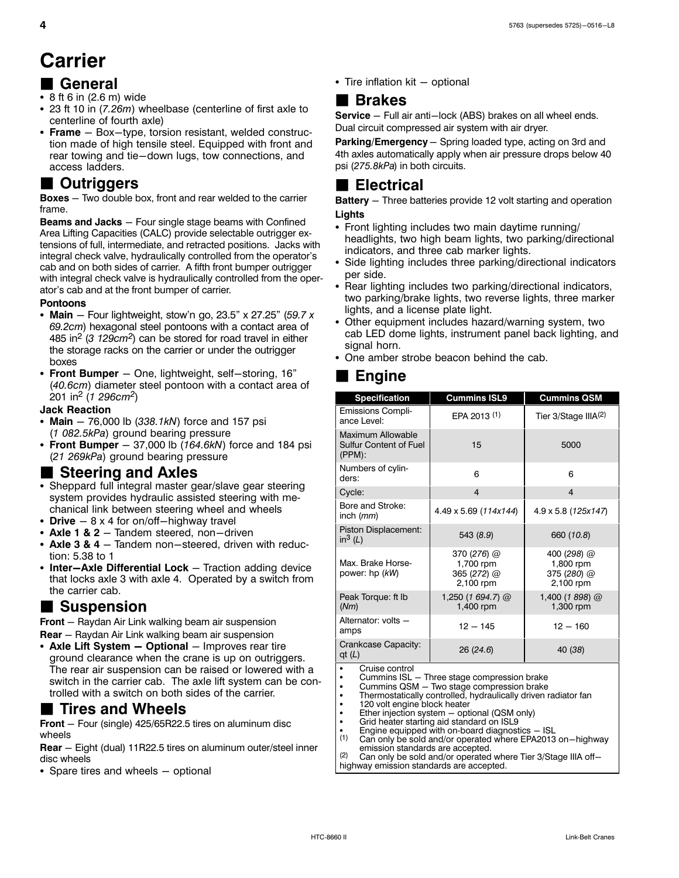## <span id="page-7-0"></span>**Carrier**

## **General**<br>• 8 ft 6 in (2.6 m)

- 8 ft 6 in (2.6 m) wide
- 23 ft 10 in (7.26*m*) wheelbase (centerline of first axle to centerline of fourth axle) centerline of fourth axle)
- Frame Box-type, torsion resistant, welded construction made of high tensile steel. Equipped with front and rear towing and tie-down lugs, tow connections, and access ladders.

### $\blacksquare$  Outriggers

**Boxes** - Two double box, front and rear welded to the carrier frame.

**Beams and Jacks** - Four single stage beams with Confined Area Lifting Capacities (CALC) provide selectable outrigger extensions of full, intermediate, and retracted positions. Jacks with integral check valve, hydraulically controlled from the operator's cab and on both sides of carrier. A fifth front bumper outrigger with integral check valve is hydraulically controlled from the operator's cab and at the front bumper of carrier.

#### **Pontoons**

- **Main** Four lightweight, stow'n go, 23.5" x 27.25" (59.7 x 69.2cm) hexagonal steel pontoons with a contact area of *69.2cm*) hexagonal steel pontoons with a contact area of 485 in2 (*3 129cm2*) can be stored for road travel in either the storage racks on the carrier or under the outrigger boxes
- Front Bumper One, lightweight, self-storing, 16" (*40.6cm*) diameter steel pontoon with a contact area of 201 in2 (*1 296cm2*)

#### **Jack Reaction**

- $\bullet$ **Main** - 76,000 lb (338.1kN) force and 157 psi (*1 082.5kPa*) ground bearing pressure
- **Front Bumper** 37,000 lb (*164.6kN*) force and 184 psi<br>(21.269kPa) ground bearing pressure (*21 269kPa*) ground bearing pressure

## **Steering and Axles**<br>• Sheppard full integral master of

- Sheppard full integral master gear/slave gear steering system provides hydraulic assisted steering with mechanical link between steering wheel and wheels
- $\cdot$  **Drive**  $-$  8 x 4 for on/off-highway travel
- Axle 1 & 2 Tandem steered, non-driven
- Axle 3 & 4 Tandem non-steered, driven with reduction: 5.38 to 1
- Inter-Axle Differential Lock Traction adding device that locks axle 3 with axle 4. Operated by a switch from the carrier cab.

### - **Suspension**

**Front** - Raydan Air Link walking beam air suspension **Rear** - Raydan Air Link walking beam air suspension

• Axle Lift System - Optional - Improves rear tire ground clearance when the crane is up on outriggers. The rear air suspension can be raised or lowered with a switch in the carrier cab. The axle lift system can be controlled with a switch on both sides of the carrier.

### $\blacksquare$  **Tires and Wheels**

**Front** - Four (single) 425/65R22.5 tires on aluminum disc wheels

**Rear** - Eight (dual) 11R22.5 tires on aluminum outer/steel inner disc wheels

• Spare tires and wheels - optional

• Tire inflation kit - optional

### - **Brakes**

**Service** - Full air anti-lock (ABS) brakes on all wheel ends. Dual circuit compressed air system with air dryer.

**Parking/Emergency** - Spring loaded type, acting on 3rd and 4th axles automatically apply when air pressure drops below 40 psi (*275.8kPa*) in both circuits.

### - **Electrical**

**Battery** - Three batteries provide 12 volt starting and operation **Lights**

- Front lighting includes two main daytime running/ headlights, two high beam lights, two parking/directional indicators, and three cab marker lights.
- Side lighting includes three parking/directional indicators per side.
- Rear lighting includes two parking/directional indicators, two parking/brake lights, two reverse lights, three marker lights, and a license plate light.
- Other equipment includes hazard/warning system, two cab LED dome lights, instrument panel back lighting, and signal horn.
- One amber strobe beacon behind the cab.

### **Engine**

| <b>Specification</b>                                            | <b>Cummins ISL9</b>                                    | <b>Cummins QSM</b>                                    |
|-----------------------------------------------------------------|--------------------------------------------------------|-------------------------------------------------------|
| <b>Emissions Compli-</b><br>ance Level:                         | EPA 2013 (1)                                           | Tier $3$ /Stage IIIA $(2)$                            |
| Maximum Allowable<br><b>Sulfur Content of Fuel</b><br>$(PPM)$ : | 15                                                     | 5000                                                  |
| Numbers of cylin-<br>ders:                                      | 6                                                      | 6                                                     |
| Cycle:                                                          | $\overline{\mathbf{4}}$                                | $\overline{\mathbf{4}}$                               |
| Bore and Stroke:<br>inch $(mm)$                                 | $4.49 \times 5.69$ (114x144)                           | $4.9 \times 5.8$ (125x147)                            |
| Piston Displacement:<br>in <sup>3</sup> $(L)$                   | 543 (8.9)                                              | 660 (10.8)                                            |
| Max. Brake Horse-<br>power: hp (kW)                             | 370 (276) @<br>1,700 rpm<br>365 $(272)$ @<br>2,100 rpm | 400 (298) @<br>1,800 rpm<br>$375(280)$ @<br>2,100 rpm |
| Peak Torque: ft Ib<br>(Nm)                                      | 1,250 (1 694.7) $@$<br>1,400 rpm                       | 1,400 (1 898) @<br>1,300 rpm                          |
| Alternator: volts -<br>amps                                     | $12 - 145$                                             | $12 - 160$                                            |
| Crankcase Capacity:<br>qt(L)                                    | 26(24.6)                                               | 40 (38)                                               |
| Cruise control                                                  |                                                        |                                                       |

• Cruise control<br>• Cummins ISL – Three stage compression brake

-Cummins QSM - Two stage compression brake -

Thermostatically controlled, hydraulically driven radiator fan -

- 120 volt engine block heater
- Ether injection system  $-$  optional (QSM only)
- Grid heater starting aid standard on ISL9
- $(1)$

Engine equipped with on-board diagnostics - ISL<br>Can only be sold and/or operated where EPA2013 on-highway<br>emission standards are accepted. Can only be sold and/or operated where Tier 3/Stage IIIA off-

highway emission standards are accepted.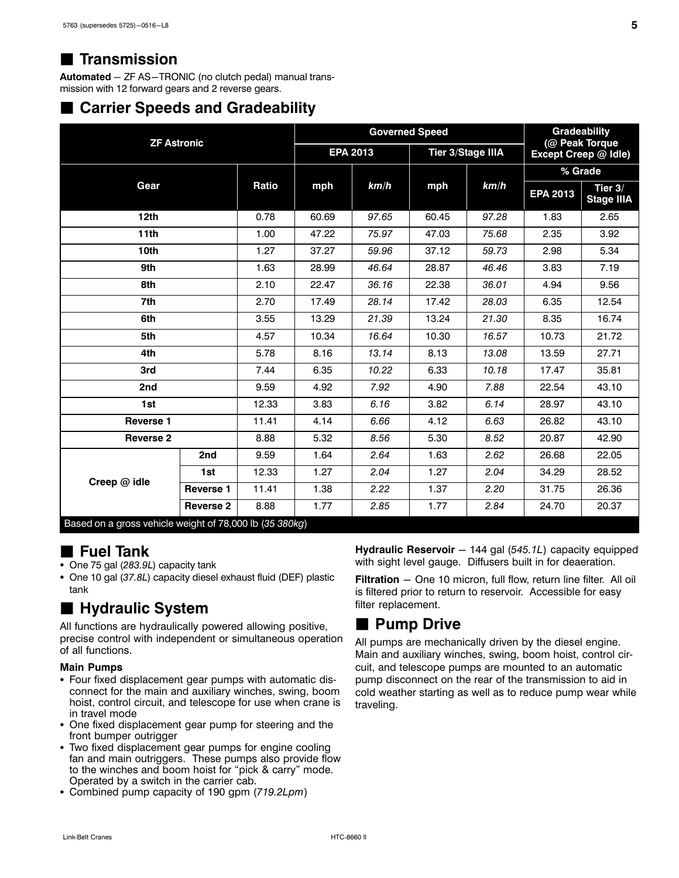### <span id="page-8-0"></span>- **Transmission**

Automated - ZF AS-TRONIC (no clutch pedal) manual transmission with 12 forward gears and 2 reverse gears.

## ■ Carrier Speeds and Gradeability

| <b>ZF Astronic</b>                                      |                  |       |       | <b>Governed Speed</b> |                   | Gradeability<br>(@ Peak Torque |                      |                                |
|---------------------------------------------------------|------------------|-------|-------|-----------------------|-------------------|--------------------------------|----------------------|--------------------------------|
|                                                         |                  |       |       | <b>EPA 2013</b>       | Tier 3/Stage IIIA |                                | Except Creep @ Idle) |                                |
|                                                         |                  |       |       |                       |                   |                                | % Grade              |                                |
| Gear                                                    |                  | Ratio | mph   | km/h                  | mph               | km/h                           | <b>EPA 2013</b>      | Tier $3/$<br><b>Stage IIIA</b> |
| 12 <sub>th</sub>                                        |                  | 0.78  | 60.69 | 97.65                 | 60.45             | 97.28                          | 1.83                 | 2.65                           |
| 11th                                                    |                  | 1.00  | 47.22 | 75.97                 | 47.03             | 75.68                          | 2.35                 | 3.92                           |
| 10th                                                    |                  | 1.27  | 37.27 | 59.96                 | 37.12             | 59.73                          | 2.98                 | 5.34                           |
| 9th                                                     |                  | 1.63  | 28.99 | 46.64                 | 28.87             | 46.46                          | 3.83                 | 7.19                           |
| 8th                                                     |                  | 2.10  | 22.47 | 36.16                 | 22.38             | 36.01                          | 4.94                 | 9.56                           |
| 7th                                                     |                  | 2.70  | 17.49 | 28.14                 | 17.42             | 28.03                          | 6.35                 | 12.54                          |
| 6th                                                     |                  | 3.55  | 13.29 | 21.39                 | 13.24             | 21.30                          | 8.35                 | 16.74                          |
| 5th                                                     |                  | 4.57  | 10.34 | 16.64                 | 10.30             | 16.57                          | 10.73                | 21.72                          |
| 4th                                                     |                  | 5.78  | 8.16  | 13.14                 | 8.13              | 13.08                          | 13.59                | 27.71                          |
| 3rd                                                     |                  | 7.44  | 6.35  | 10.22                 | 6.33              | 10.18                          | 17.47                | 35.81                          |
| 2nd                                                     |                  | 9.59  | 4.92  | 7.92                  | 4.90              | 7.88                           | 22.54                | 43.10                          |
| 1st                                                     |                  | 12.33 | 3.83  | 6.16                  | 3.82              | 6.14                           | 28.97                | 43.10                          |
| <b>Reverse 1</b>                                        |                  | 11.41 | 4.14  | 6.66                  | 4.12              | 6.63                           | 26.82                | 43.10                          |
| <b>Reverse 2</b>                                        |                  | 8.88  | 5.32  | 8.56                  | 5.30              | 8.52                           | 20.87                | 42.90                          |
|                                                         | 2nd              | 9.59  | 1.64  | 2.64                  | 1.63              | 2.62                           | 26.68                | 22.05                          |
|                                                         | 1st              | 12.33 | 1.27  | 2.04                  | 1.27              | 2.04                           | 34.29                | 28.52                          |
| Creep $@$ idle                                          | <b>Reverse 1</b> | 11.41 | 1.38  | 2.22                  | 1.37              | 2.20                           | 31.75                | 26.36                          |
|                                                         | 8.88             | 1.77  | 2.85  | 1.77                  | 2.84              | 24.70                          | 20.37                |                                |
| Based on a gross vehicle weight of 78,000 lb (35 380kg) |                  |       |       |                       |                   |                                |                      |                                |

## **Fuel Tank**<br>• One 75 gal (283.9)

- One 75 gal (*283.9L*) capacity tank
- One 10 gal (*37.8L*) capacity diesel exhaust fluid (DEF) plastic tank

## $\blacksquare$  **Hydraulic System**

All functions are hydraulically powered allowing positive, precise control with independent or simultaneous operation of all functions.

#### **Main Pumps**

- Four fixed displacement gear pumps with automatic disconnect for the main and auxiliary winches, swing, boom hoist, control circuit, and telescope for use when crane is in travel mode
- One fixed displacement gear pump for steering and the front bumper outrigger
- Two fixed displacement gear pumps for engine cooling fan and main outriggers. These pumps also provide flow to the winches and boom hoist for "pick & carry" mode. Operated by a switch in the carrier cab.
- Combined pump capacity of 190 gpm (*719.2Lpm*)

**Hydraulic Reservoir** - 144 gal (545.1L) capacity equipped with sight level gauge. Diffusers built in for deaeration.

Filtration - One 10 micron, full flow, return line filter. All oil is filtered prior to return to reservoir. Accessible for easy filter replacement.

## **Pump Drive**

All pumps are mechanically driven by the diesel engine. Main and auxiliary winches, swing, boom hoist, control circuit, and telescope pumps are mounted to an automatic pump disconnect on the rear of the transmission to aid in cold weather starting as well as to reduce pump wear while traveling.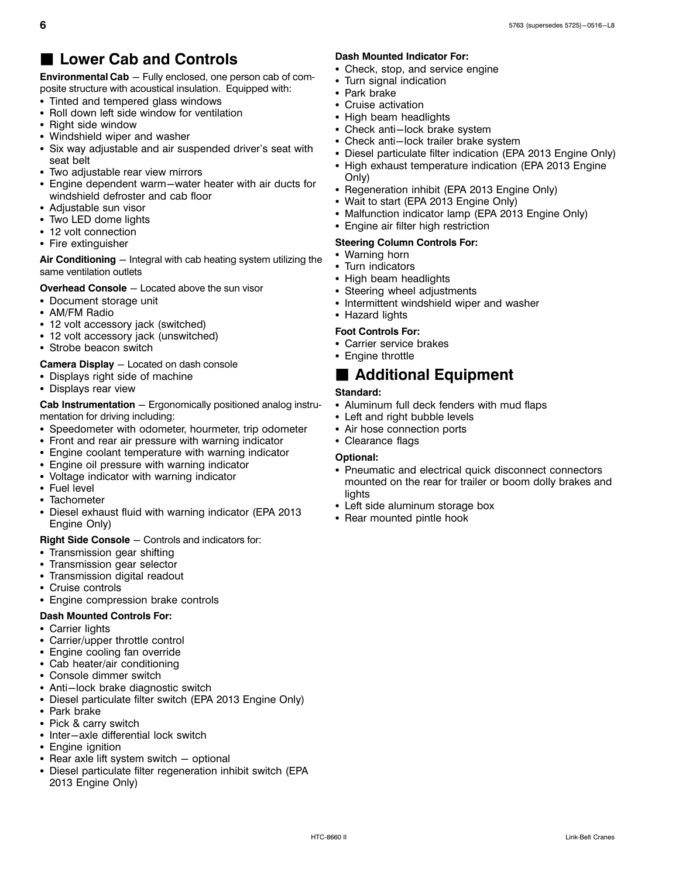### <span id="page-9-0"></span>■ Lower Cab and Controls

**Environmental Cab** - Fully enclosed, one person cab of composite structure with acoustical insulation. Equipped with:

- .<br>• Tinted and tempered glass windows
- Roll down left side window for ventilation
- Right side window
- Windshield wiper and washer
- Six way adjustable and air suspended driver's seat with seat belt
- Two adjustable rear view mirrors
- Engine dependent warm-water heater with air ducts for windshield defroster and cab floor
- Adjustable sun visor
- Two LED dome lights
- 12 volt connection
- Fire extinguisher

**Air Conditioning** – Integral with cab heating system utilizing the same ventilation outlets

#### **Overhead Console** - Located above the sun visor

- Document storage unit
- AM/FM Radio
- 12 volt accessory jack (switched)
- 12 volt accessory jack (unswitched)
- Strobe beacon switch

#### **Camera Display** - Located on dash console

- Displays right side of machine
- Displays rear view

**Cab Instrumentation** - Ergonomically positioned analog instrumentation for driving including:

- Speedometer with odometer, hourmeter, trip odometer
- Front and rear air pressure with warning indicator
- Engine coolant temperature with warning indicator
- Engine oil pressure with warning indicator
- Voltage indicator with warning indicator
- Fuel level
- Tachometer
- Diesel exhaust fluid with warning indicator (EPA 2013 Engine Only)

**Right Side Console** - Controls and indicators for:

- Transmission gear shifting
- Transmission gear selector
- Transmission digital readout
- Cruise controls
- Engine compression brake controls

#### **Dash Mounted Controls For:**

- Carrier lights
- Carrier/upper throttle control
- Engine cooling fan override
- Cab heater/air conditioning
- Console dimmer switch
- Anti-lock brake diagnostic switch
- Diesel particulate filter switch (EPA 2013 Engine Only)
- Park brake
- Pick & carry switch
- Inter-axle differential lock switch
- Engine ignition
- Rear axle lift system switch optional<br>• Diesel particulate filter regeneration in
- Diesel particulate filter regeneration inhibit switch (EPA 2013 Engine Only)

#### **Dash Mounted Indicator For:**

- Check, stop, and service engine
- Turn signal indication
- Park brake
- Cruise activation
- High beam headlights
- Check anti-lock brake system
- Check anti-lock trailer brake system
- Diesel particulate filter indication (EPA 2013 Engine Only)
- High exhaust temperature indication (EPA 2013 Engine Only)
- Regeneration inhibit (EPA 2013 Engine Only)
- Wait to start (EPA 2013 Engine Only)
- Malfunction indicator lamp (EPA 2013 Engine Only)
- Engine air filter high restriction

#### **Steering Column Controls For:**

- Warning horn
- Turn indicators
- High beam headlights
- Steering wheel adjustments
- Intermittent windshield wiper and washer
- Hazard lights

#### **Foot Controls For:**

- Carrier service brakes
- Engine throttle

## **E** Additional Equipment

#### **Standard:**

- Aluminum full deck fenders with mud flaps
- Left and right bubble levels
- Air hose connection ports
- Clearance flags

#### **Optional:**

- Pneumatic and electrical quick disconnect connectors mounted on the rear for trailer or boom dolly brakes and lights
- Left side aluminum storage box
- Rear mounted pintle hook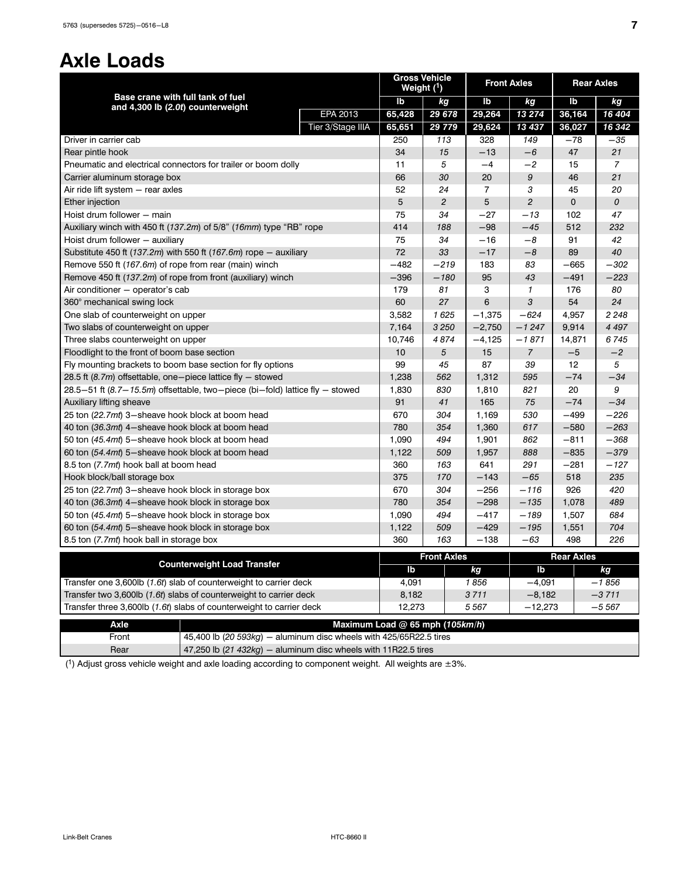## <span id="page-10-0"></span>**Axle Loads**

|                                                                                |                                 | <b>Gross Vehicle</b><br>Weight $(1)$ |                | <b>Front Axles</b> | <b>Rear Axles</b>    |                |  |
|--------------------------------------------------------------------------------|---------------------------------|--------------------------------------|----------------|--------------------|----------------------|----------------|--|
| Base crane with full tank of fuel                                              | lb                              | kg                                   | lb             | kg                 | Ib                   | kg             |  |
| and 4,300 lb (2.0t) counterweight<br><b>EPA 2013</b>                           | 65,428                          | 29 678                               | 29,264         | 13 274             | 36,164               | 16 404         |  |
| Tier 3/Stage IIIA                                                              | 65,651                          | 29 779                               | 29,624         | 13 437             | 36,027               | 16 342         |  |
| Driver in carrier cab                                                          | 250                             | 113                                  | 328            | 149                | $-78$                | $-35$          |  |
| Rear pintle hook                                                               | 34                              | 15                                   | $-13$          | $-6$               | 47                   | 21             |  |
| Pneumatic and electrical connectors for trailer or boom dolly                  | 11                              | 5                                    | $-4$           | $-2$               | 15                   | $\overline{7}$ |  |
| Carrier aluminum storage box                                                   | 66                              | 30                                   | 20             | 9                  | 46                   | 21             |  |
| Air ride lift system - rear axles                                              | 52                              | 24                                   | $\overline{7}$ | 3                  | 45                   | 20             |  |
| Ether injection                                                                | 5                               | $\overline{c}$                       | 5              | $\overline{c}$     | $\mathbf 0$          | 0              |  |
| Hoist drum follower - main                                                     | 75                              | 34                                   | $-27$          | $-13$              | 102                  | 47             |  |
| Auxiliary winch with 450 ft (137.2m) of 5/8" (16mm) type "RB" rope             | 414                             | 188                                  | $-98$          | $-45$              | 512                  | 232            |  |
| Hoist drum follower - auxiliary                                                | 75                              | 34                                   | $-16$          | $-8$               | 91                   | 42             |  |
| Substitute 450 ft (137.2m) with 550 ft (167.6m) rope $-$ auxiliary             | 72                              | 33                                   | $-17$          | $-8$               | 89                   | 40             |  |
| Remove 550 ft (167.6m) of rope from rear (main) winch                          | $-482$                          | $-219$                               | 183            | 83                 | $-665$               | $-302$         |  |
| Remove 450 ft (137.2m) of rope from front (auxiliary) winch                    | $-396$                          | $-180$                               | 95             | 43                 | $-491$               | $-223$         |  |
| Air conditioner - operator's cab                                               | 179                             | 81                                   | 3              | $\mathbf{1}$       | 176                  | 80             |  |
| 360° mechanical swing lock                                                     | 60                              | 27                                   | 6              | 3                  | 54                   | 24             |  |
| One slab of counterweight on upper                                             | 3,582                           | 1625                                 | $-1,375$       | $-624$             | 4,957                | 2 2 4 8        |  |
| Two slabs of counterweight on upper                                            | 7,164                           | 3 2 5 0                              | $-2.750$       | $-1247$            | 9,914                | 4 4 9 7        |  |
| Three slabs counterweight on upper                                             | 10,746                          | 4874                                 | $-4,125$       | $-1871$            | 14,871               | 6745           |  |
| Floodlight to the front of boom base section                                   | 10                              | 5                                    | 15             | $\overline{7}$     | $-5$                 | $-2$           |  |
| Fly mounting brackets to boom base section for fly options                     | 99                              | 45                                   | 87             | 39                 | 12                   | 5              |  |
| 28.5 ft (8.7m) offsettable, one-piece lattice fly $-$ stowed                   | 1,238                           | 562                                  | 1,312          | 595                | $-74$                | $-34$          |  |
| 28.5–51 ft $(8.7-15.5m)$ offsettable, two–piece (bi–fold) lattice fly – stowed | 1,830                           | 830                                  | 1,810          | 821                | 20                   | 9              |  |
| Auxiliary lifting sheave                                                       | 91                              | 41                                   | 165            | 75                 | $-74$                | $-34$          |  |
| 25 ton (22.7mt) 3-sheave hook block at boom head                               | 670                             | 304                                  | 1,169          | 530                | $-499$               | $-226$         |  |
| 40 ton (36.3mt) 4-sheave hook block at boom head                               | 780                             | 354                                  | 1,360          | 617                | $-580$               | $-263$         |  |
| 50 ton (45.4mt) 5-sheave hook block at boom head                               | 1,090                           | 494                                  | 1,901          | 862                | $-811$               | $-368$         |  |
| 60 ton (54.4mt) 5-sheave hook block at boom head                               | 1,122                           | 509                                  | 1,957          | 888                | $-835$               | $-379$         |  |
| 8.5 ton (7.7mt) hook ball at boom head                                         | 360                             | 163                                  | 641            | 291                | $-281$               | $-127$         |  |
| Hook block/ball storage box                                                    | 375                             | 170                                  | $-143$         | $-65$              | 518                  | 235            |  |
| 25 ton (22.7mt) 3-sheave hook block in storage box                             | 670                             | 304                                  | $-256$         | $-116$             | 926                  | 420            |  |
| 40 ton (36.3mt) 4-sheave hook block in storage box                             | 780                             | 354                                  | $-298$         | $-135$             | 1,078                | 489            |  |
| 50 ton (45.4mt) 5-sheave hook block in storage box                             | 1,090                           | 494                                  | $-417$         | $-189$             | 1,507                | 684            |  |
| 60 ton (54.4mt) 5-sheave hook block in storage box                             | 1,122                           | 509                                  | $-429$         | $-195$             | 1,551                | 704            |  |
| 8.5 ton (7.7mt) hook ball in storage box                                       | 360                             | 163                                  | $-138$         | $-63$              | 498                  | 226            |  |
|                                                                                |                                 | <b>Front Axles</b>                   |                |                    | <b>Rear Axles</b>    |                |  |
| <b>Counterweight Load Transfer</b>                                             | Ib                              |                                      | kg             | Ib                 |                      | kg             |  |
| Transfer one 3,600lb (1.6t) slab of counterweight to carrier deck              | 4,091                           |                                      | 1856           | $-4,091$           |                      | $-1856$        |  |
| Transfer two 3,600lb (1.6t) slabs of counterweight to carrier deck             | 8,182                           |                                      | 3711           | $-8,182$           |                      | $-3711$        |  |
| Transfer three 3,600lb (1.6t) slabs of counterweight to carrier deck           |                                 | 12,273<br>5 5 6 7                    |                |                    | $-12,273$<br>$-5567$ |                |  |
| Axle                                                                           | Maximum Load @ 65 mph (105km/h) |                                      |                |                    |                      |                |  |
|                                                                                |                                 |                                      |                |                    |                      |                |  |

Front 45,400 lb (*20 593kg*) - aluminum disc wheels with 425/65R22.5 tires Rear 47,250 lb (21 432kg) - aluminum disc wheels with 11R22.5 tires

(1) Adjust gross vehicle weight and axle loading according to component weight. All weights are  $\pm 3\%$ .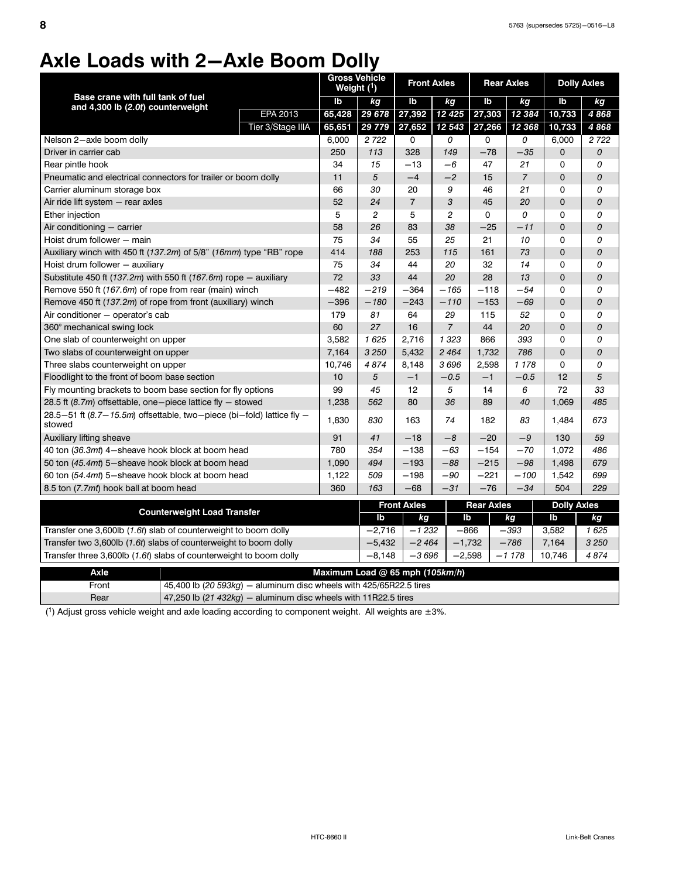## <span id="page-11-0"></span>**Axle Loads with 2-Axle Boom Dolly**

|                                                                                     |                   |                                   | <b>Gross Vehicle</b><br>Weight (1) |                             | <b>Front Axles</b> |                   | <b>Rear Axles</b> |                    | <b>Dolly Axles</b> |
|-------------------------------------------------------------------------------------|-------------------|-----------------------------------|------------------------------------|-----------------------------|--------------------|-------------------|-------------------|--------------------|--------------------|
| Base crane with full tank of fuel                                                   |                   | Ib                                | kg                                 | lb                          | kq                 | Ib                | kg                | Ib                 | kg                 |
| and 4,300 lb (2.0t) counterweight                                                   | EPA 2013          | 65,428                            |                                    | 29 678 27,392 12 425 27,303 |                    |                   | 12 3 84           | 10,733             | 4868               |
|                                                                                     | Tier 3/Stage IIIA | 65,651                            | 29 779                             | 27,652                      | 12 543             | 27,266            | 12 3 68           | 10,733             | 4868               |
| Nelson 2-axle boom dolly                                                            |                   | 6,000                             | 2722                               | 0                           | 0                  | 0                 | 0                 | 6,000              | 2 7 2 2            |
| Driver in carrier cab                                                               |                   | 250                               | 113                                | 328                         | 149                | $-78$             | $-35$             | $\mathbf 0$        | 0                  |
| Rear pintle hook                                                                    |                   | 34                                | 15                                 | $-13$                       | $-6$               | 47                | 21                | $\mathbf 0$        | 0                  |
| Pneumatic and electrical connectors for trailer or boom dolly                       |                   | 11                                | 5                                  | $-4$                        | $-2$               | 15                | $\overline{7}$    | $\mathbf 0$        | 0                  |
| Carrier aluminum storage box                                                        |                   | 66                                | 30                                 | 20                          | 9                  | 46                | 21                | $\mathbf 0$        | 0                  |
| Air ride lift system - rear axles                                                   |                   | 52                                | 24                                 | $\overline{7}$              | 3                  | 45                | 20                | $\mathbf 0$        | 0                  |
| Ether injection                                                                     |                   | 5                                 | $\overline{c}$                     | 5                           | $\overline{c}$     | $\Omega$          | 0                 | $\mathbf 0$        | 0                  |
| Air conditioning - carrier                                                          |                   | 58                                | 26                                 | 83                          | 38                 | $-25$             | $-11$             | $\mathbf 0$        | 0                  |
| Hoist drum follower - main                                                          |                   | 75                                | 34                                 | 55                          | 25                 | 21                | 10                | $\mathbf 0$        | 0                  |
| Auxiliary winch with 450 ft (137.2m) of 5/8" (16mm) type "RB" rope                  |                   | 414                               | 188                                | 253                         | 115                | 161               | 73                | $\mathbf 0$        | 0                  |
| Hoist drum follower - auxiliary                                                     |                   | 75                                | 34                                 | 44                          | 20                 | 32                | 14                | $\mathbf 0$        | 0                  |
| Substitute 450 ft (137.2m) with 550 ft (167.6m) rope $-$ auxiliary                  |                   | 72                                | 33                                 | 44                          | 20                 | 28                | 13                | 0                  | 0                  |
| Remove 550 ft (167.6m) of rope from rear (main) winch                               |                   | $-482$                            | $-219$                             | $-364$                      | $-165$             | $-118$            | $-54$             | $\mathbf 0$        | 0                  |
| Remove 450 ft (137.2m) of rope from front (auxiliary) winch                         |                   | $-396$                            | $-180$                             | $-243$                      | $-110$             | $-153$            | $-69$             | $\mathbf 0$        | 0                  |
| Air conditioner - operator's cab                                                    |                   | 179                               | 81                                 | 64                          | 29                 | 115               | 52                | $\mathbf 0$        | 0                  |
| 360° mechanical swing lock                                                          |                   | 60                                | 27                                 | 16                          | $\overline{7}$     | 44                | 20                | $\mathbf 0$        | 0                  |
| One slab of counterweight on upper                                                  |                   | 3,582                             | 1625                               | 2,716                       | 1 3 2 3            | 866               | 393               | $\mathbf 0$        | 0                  |
| Two slabs of counterweight on upper                                                 |                   | 7,164                             | 3 2 5 0                            | 5,432                       | 2 4 6 4            | 1,732             | 786               | $\mathbf 0$        | 0                  |
| Three slabs counterweight on upper                                                  |                   | 10,746                            | 4874                               | 8,148                       | 3696               | 2,598             | 1 1 7 8           | $\Omega$           | 0                  |
| Floodlight to the front of boom base section                                        |                   | 10                                | 5                                  | $-1$                        | $-0.5$             | $-1$              | $-0.5$            | 12                 | 5                  |
| Fly mounting brackets to boom base section for fly options                          |                   | 99                                | 45                                 | 12                          | 5                  | 14                | 6                 | 72                 | 33                 |
| 28.5 ft (8.7m) offsettable, one-piece lattice fly - stowed                          |                   | 1,238                             | 562                                | 80                          | 36                 | 89                | 40                | 1,069              | 485                |
| $28.5 - 51$ ft (8.7–15.5m) offsettable, two-piece (bi-fold) lattice fly -<br>stowed |                   | 1,830                             | 830                                | 163                         | 74                 | 182               | 83                | 1,484              | 673                |
| Auxiliary lifting sheave                                                            |                   | 91                                | 41                                 | $-18$                       | $-8$               | $-20$             | $-9$              | 130                | 59                 |
| 40 ton (36.3mt) 4-sheave hook block at boom head                                    |                   | 780                               | 354                                | $-138$                      | $-63$              | $-154$            | $-70$             | 1,072              | 486                |
| 50 ton (45.4mt) 5-sheave hook block at boom head                                    |                   | 1,090                             | 494                                | $-193$                      | $-88$              | $-215$            | $-98$             | 1,498              | 679                |
| 60 ton (54.4mt) 5-sheave hook block at boom head                                    |                   | 1,122                             | 509                                | $-198$                      | $-90$              | $-221$            | $-100$            | 1,542              | 699                |
| 8.5 ton (7.7mt) hook ball at boom head                                              |                   | 360                               | 163                                | $-68$                       | $-31$              | $-76$             | $-34$             | 504                | 229                |
|                                                                                     |                   |                                   |                                    | <b>Front Axles</b>          |                    | <b>Rear Axles</b> |                   | <b>Dolly Axles</b> |                    |
| <b>Counterweight Load Transfer</b>                                                  |                   |                                   | lb                                 | kg                          | lb                 |                   | kg                | lb                 | kg                 |
| Transfer one 3,600lb (1.6t) slab of counterweight to boom dolly                     |                   |                                   | $-2,716$                           | $-1232$                     | $-866$             |                   | $-393$            | 3,582              | 1625               |
| Transfer two 3,600lb (1.6t) slabs of counterweight to boom dolly                    |                   |                                   | $-5,432$                           | $-2464$                     | $-1,732$           |                   | $-786$            | 7,164              | 3 2 5 0            |
| Transfer three 3,600lb (1.6t) slabs of counterweight to boom dolly                  |                   |                                   | $-8,148$                           | $-3696$                     | $-2,598$           |                   | $-1178$           | 10,746             | 4874               |
| Axle                                                                                |                   | Maximum Load $@$ 65 mph (105km/h) |                                    |                             |                    |                   |                   |                    |                    |
| Front<br>45,400 lb (20 593kg) - aluminum disc wheels with 425/65R22.5 tires         |                   |                                   |                                    |                             |                    |                   |                   |                    |                    |
| 47,250 lb (21 432kg) - aluminum disc wheels with 11R22.5 tires<br>Rear              |                   |                                   |                                    |                             |                    |                   |                   |                    |                    |

Rear 147,250 lb (21 432kg) - aluminum disc wheels with 11R22.5 tires  $(1)$  Adjust gross vehicle weight and axle loading according to component weight. All weights are  $\pm 3$ %.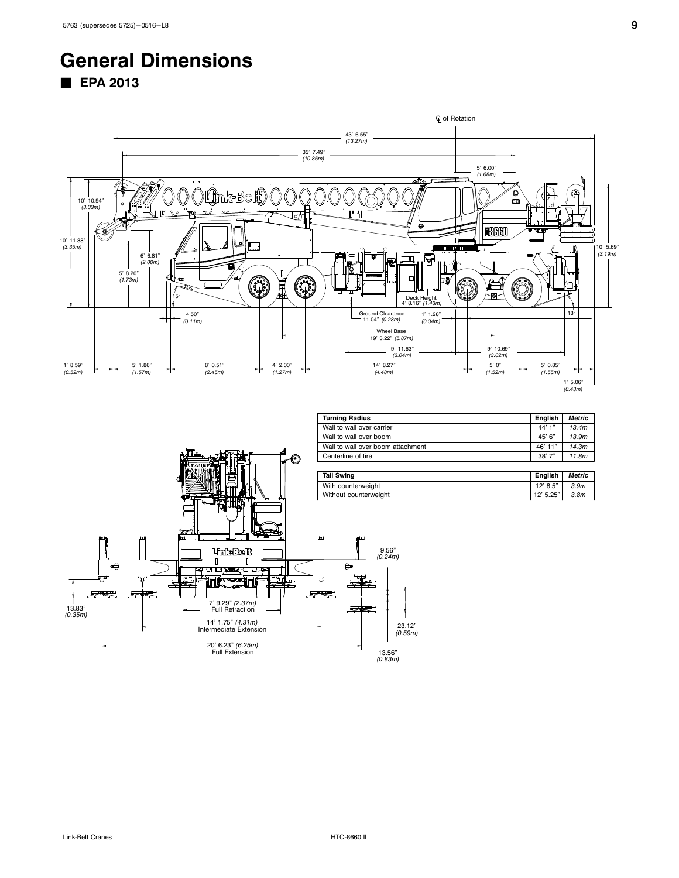## <span id="page-12-0"></span>**General Dimensions**

**EPA 2013** 



*(0.83m)*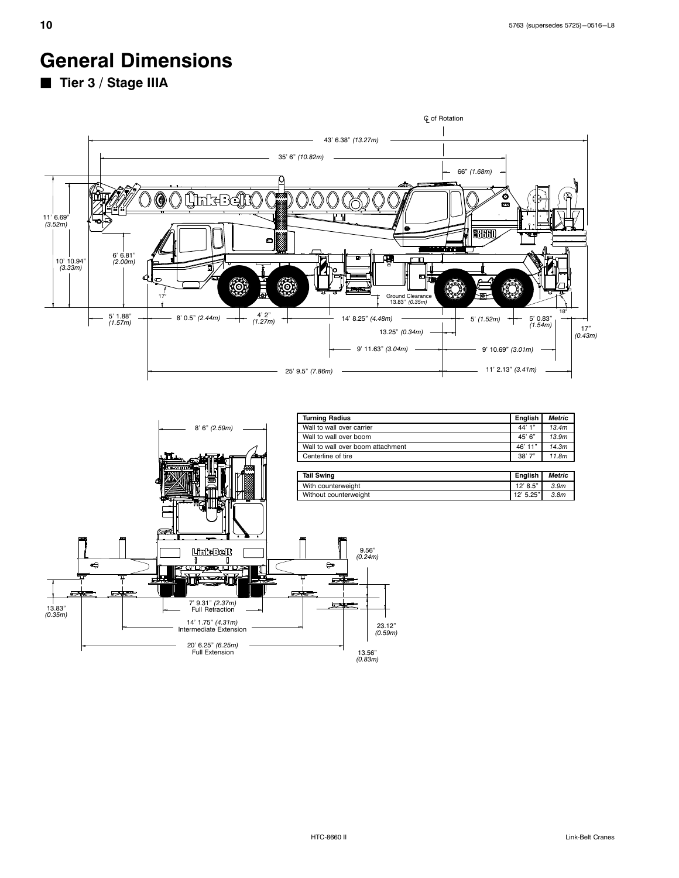## **General Dimensions**

**Tier 3 / Stage IIIA** 



<span id="page-13-0"></span>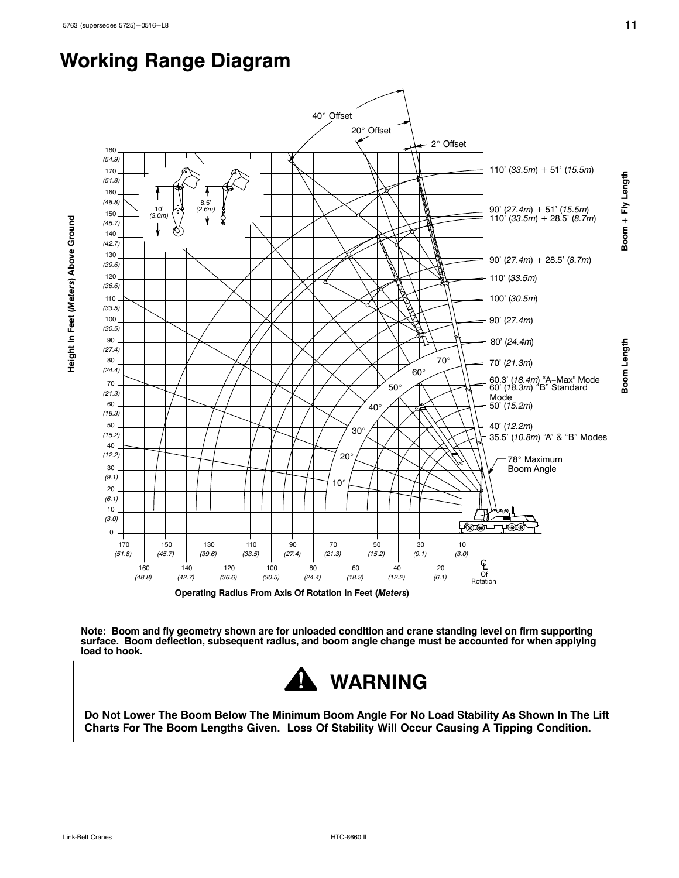## <span id="page-14-0"></span>**Working Range Diagram**

Height In Feet (Meters) Above Ground **Height In Feet (***Meters***) Above Ground**



**Note: Boom and fly geometry shown are for unloaded condition and crane standing level on firm supporting surface. Boom deflection, subsequent radius, and boom angle change must be accounted for when applying load to hook.**



**Do Not Lower The Boom Below The Minimum Boom Angle For No Load Stability As Shown In The Lift Charts For The Boom Lengths Given. Loss Of Stability Will Occur Causing A Tipping Condition.**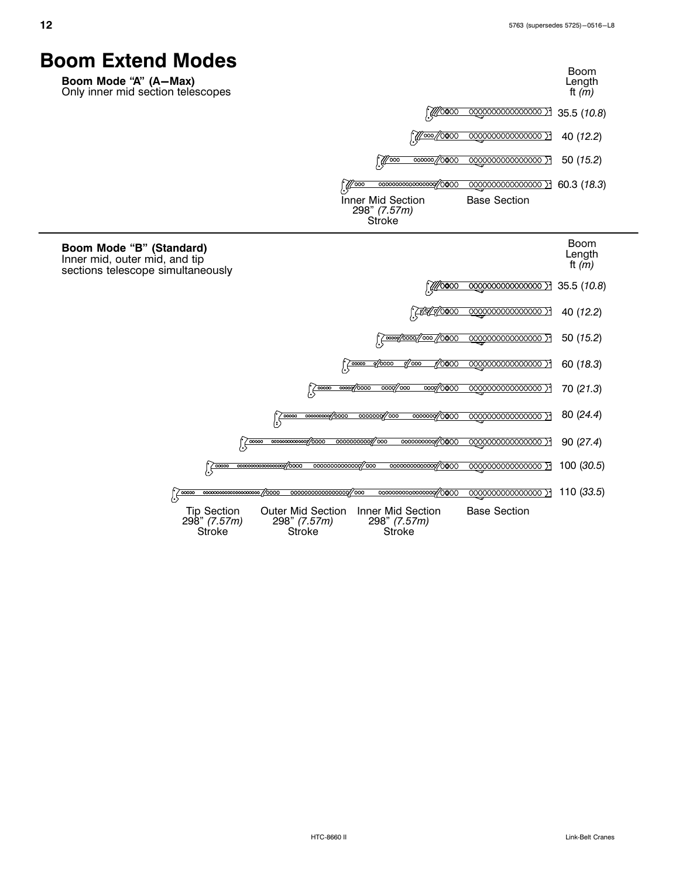#### <span id="page-15-0"></span>**Boom Extend Modes** Boom **Boom Mode "A" (A-Max)** Length Only inner mid section telescopes ft *(m)* 70000 35.5 (*10.8*)  $\frac{1}{2}$  000 000  $\frac{1}{2}$ 0000000000000000 }\* 40 (*12.2*) <u>) Wooo </u> 00000 00000 0000000000000000 } 50 (*15.2*)  $\mathbb{Z}^{\infty}$ 60.3 (*18.3*) Inner Mid Section Base Section298" *(7.57m)* Stroke Boom **Boom Mode "B" (Standard)** Length Inner mid, outer mid, and tip ft *(m)* sections telescope simultaneously 1 35.5 (*10.8*) <u> JAU 10000</u> 40 (*12.2*)  $\frac{1}{\sqrt{10000/\sqrt{10000/\sqrt{10000}}}}$ 0000000000000000 }\* 50 (*15.2*)  $\sum_{n=1}^{\infty}$ 10000 60 (*18.3*) ब⁄⁄‱  $\sqrt{\infty}$  $\int_{0}^{\infty} \frac{\cos \alpha}{\cos \alpha}$ ब्ल⁄ठ००० 0000000 0000/0000 000000000000000 }\* 70 (*21.3*) 80 (*24.4*) 0000000000000000 } 90 (*27.4*) 100 (*30.5*) <u>, amoo </u> 110 (*33.5*) Tip Section Outer Mid Section Inner Mid Section Base Section 298" *(7.57m)* 298" *(7.57m)* 298" *(7.57m)* **Stroke Stroke Stroke**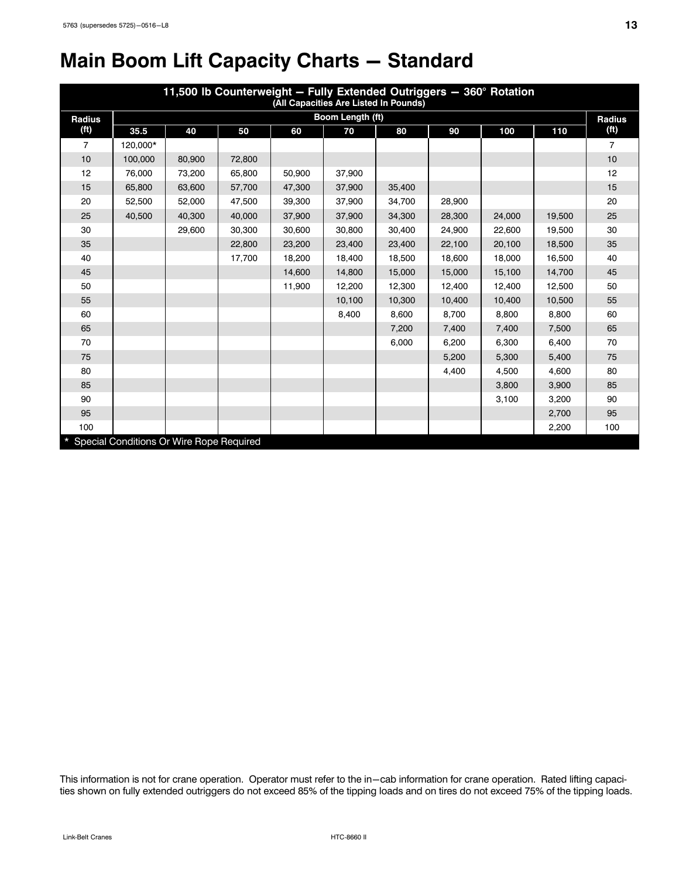## <span id="page-16-0"></span>**Main Boom Lift Capacity Charts - Standard**

|                   |                                            |        | 11,500 lb Counterweight - Fully Extended Outriggers - 360° Rotation |        |                  | (All Capacities Are Listed In Pounds) |        |        |        |                   |
|-------------------|--------------------------------------------|--------|---------------------------------------------------------------------|--------|------------------|---------------------------------------|--------|--------|--------|-------------------|
| <b>Radius</b>     |                                            |        |                                                                     |        | Boom Length (ft) |                                       |        |        |        | Radius            |
| (f <sup>t</sup> ) | 35.5                                       | 40     | 50                                                                  | 60     | 70               | 80                                    | 90     | 100    | 110    | (f <sup>t</sup> ) |
| $\overline{7}$    | 120,000*                                   |        |                                                                     |        |                  |                                       |        |        |        | $\overline{7}$    |
| 10                | 100,000                                    | 80,900 | 72,800                                                              |        |                  |                                       |        |        |        | 10                |
| 12                | 76,000                                     | 73,200 | 65,800                                                              | 50,900 | 37,900           |                                       |        |        |        | 12                |
| 15                | 65,800                                     | 63,600 | 57,700                                                              | 47,300 | 37,900           | 35,400                                |        |        |        | 15                |
| 20                | 52,500                                     | 52,000 | 47,500                                                              | 39,300 | 37,900           | 34,700                                | 28,900 |        |        | 20                |
| 25                | 40,500                                     | 40,300 | 40,000                                                              | 37,900 | 37,900           | 34,300                                | 28,300 | 24,000 | 19,500 | 25                |
| 30                |                                            | 29,600 | 30,300                                                              | 30,600 | 30,800           | 30,400                                | 24,900 | 22,600 | 19,500 | 30                |
| 35                |                                            |        | 22,800                                                              | 23,200 | 23,400           | 23,400                                | 22,100 | 20,100 | 18,500 | 35                |
| 40                |                                            |        | 17,700                                                              | 18,200 | 18,400           | 18,500                                | 18,600 | 18.000 | 16,500 | 40                |
| 45                |                                            |        |                                                                     | 14,600 | 14,800           | 15,000                                | 15,000 | 15,100 | 14,700 | 45                |
| 50                |                                            |        |                                                                     | 11,900 | 12,200           | 12,300                                | 12,400 | 12,400 | 12,500 | 50                |
| 55                |                                            |        |                                                                     |        | 10,100           | 10,300                                | 10,400 | 10,400 | 10,500 | 55                |
| 60                |                                            |        |                                                                     |        | 8,400            | 8,600                                 | 8,700  | 8,800  | 8,800  | 60                |
| 65                |                                            |        |                                                                     |        |                  | 7,200                                 | 7,400  | 7,400  | 7,500  | 65                |
| 70                |                                            |        |                                                                     |        |                  | 6,000                                 | 6,200  | 6,300  | 6,400  | 70                |
| 75                |                                            |        |                                                                     |        |                  |                                       | 5,200  | 5,300  | 5,400  | 75                |
| 80                |                                            |        |                                                                     |        |                  |                                       | 4,400  | 4,500  | 4,600  | 80                |
| 85                |                                            |        |                                                                     |        |                  |                                       |        | 3,800  | 3,900  | 85                |
| 90                |                                            |        |                                                                     |        |                  |                                       |        | 3,100  | 3,200  | 90                |
| 95                |                                            |        |                                                                     |        |                  |                                       |        |        | 2,700  | 95                |
| 100               |                                            |        |                                                                     |        |                  |                                       |        |        | 2,200  | 100               |
|                   | * Special Conditions Or Wire Rope Required |        |                                                                     |        |                  |                                       |        |        |        |                   |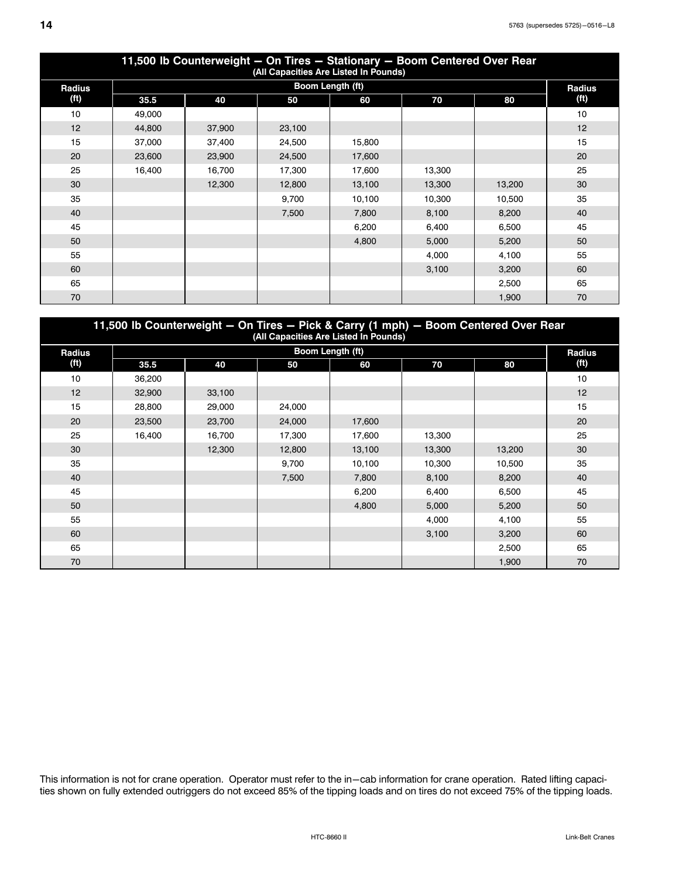<span id="page-17-0"></span>

| 11,500 lb Counterweight - On Tires - Stationary - Boom Centered Over Rear<br>(All Capacities Are Listed In Pounds) |        |               |        |        |        |        |                   |  |  |  |  |
|--------------------------------------------------------------------------------------------------------------------|--------|---------------|--------|--------|--------|--------|-------------------|--|--|--|--|
| <b>Radius</b>                                                                                                      |        | <b>Radius</b> |        |        |        |        |                   |  |  |  |  |
| (f <sup>t</sup> )                                                                                                  | 35.5   | 40            | 50     | 60     | 70     | 80     | (f <sup>t</sup> ) |  |  |  |  |
| 10                                                                                                                 | 49,000 |               |        |        |        |        | 10                |  |  |  |  |
| 12                                                                                                                 | 44,800 | 37,900        | 23,100 |        |        |        | 12                |  |  |  |  |
| 15                                                                                                                 | 37,000 | 37,400        | 24,500 | 15,800 |        |        | 15                |  |  |  |  |
| 20                                                                                                                 | 23,600 | 23,900        | 24,500 | 17,600 |        |        | 20                |  |  |  |  |
| 25                                                                                                                 | 16,400 | 16,700        | 17,300 | 17,600 | 13,300 |        | 25                |  |  |  |  |
| 30                                                                                                                 |        | 12,300        | 12,800 | 13,100 | 13,300 | 13,200 | 30                |  |  |  |  |
| 35                                                                                                                 |        |               | 9,700  | 10,100 | 10,300 | 10,500 | 35                |  |  |  |  |
| 40                                                                                                                 |        |               | 7,500  | 7,800  | 8,100  | 8,200  | 40                |  |  |  |  |
| 45                                                                                                                 |        |               |        | 6,200  | 6,400  | 6,500  | 45                |  |  |  |  |
| 50                                                                                                                 |        |               |        | 4,800  | 5,000  | 5,200  | 50                |  |  |  |  |
| 55                                                                                                                 |        |               |        |        | 4,000  | 4,100  | 55                |  |  |  |  |
| 60                                                                                                                 |        |               |        |        | 3,100  | 3,200  | 60                |  |  |  |  |
| 65                                                                                                                 |        |               |        |        |        | 2,500  | 65                |  |  |  |  |
| 70                                                                                                                 |        |               |        |        |        | 1,900  | 70                |  |  |  |  |

| 11,500 lb Counterweight - On Tires - Pick & Carry (1 mph) - Boom Centered Over Rear<br>(All Capacities Are Listed In Pounds) |        |        |        |                  |        |        |                   |  |  |  |  |
|------------------------------------------------------------------------------------------------------------------------------|--------|--------|--------|------------------|--------|--------|-------------------|--|--|--|--|
| <b>Radius</b>                                                                                                                |        |        |        | Boom Length (ft) |        |        | <b>Radius</b>     |  |  |  |  |
| (f <sup>t</sup> )                                                                                                            | 35.5   | 40     | 50     | 60               | 70     | 80     | (f <sup>t</sup> ) |  |  |  |  |
| 10                                                                                                                           | 36,200 |        |        |                  |        |        | 10                |  |  |  |  |
| 12                                                                                                                           | 32,900 | 33,100 |        |                  |        |        | 12                |  |  |  |  |
| 15                                                                                                                           | 28,800 | 29,000 | 24,000 |                  |        |        | 15                |  |  |  |  |
| 20                                                                                                                           | 23,500 | 23,700 | 24,000 | 17,600           |        |        | 20                |  |  |  |  |
| 25                                                                                                                           | 16,400 | 16,700 | 17,300 | 17,600           | 13,300 |        | 25                |  |  |  |  |
| 30                                                                                                                           |        | 12,300 | 12,800 | 13,100           | 13,300 | 13,200 | 30                |  |  |  |  |
| 35                                                                                                                           |        |        | 9,700  | 10,100           | 10,300 | 10,500 | 35                |  |  |  |  |
| 40                                                                                                                           |        |        | 7,500  | 7,800            | 8,100  | 8,200  | 40                |  |  |  |  |
| 45                                                                                                                           |        |        |        | 6,200            | 6,400  | 6,500  | 45                |  |  |  |  |
| 50                                                                                                                           |        |        |        | 4,800            | 5,000  | 5,200  | 50                |  |  |  |  |
| 55                                                                                                                           |        |        |        |                  | 4,000  | 4,100  | 55                |  |  |  |  |
| 60                                                                                                                           |        |        |        |                  | 3,100  | 3,200  | 60                |  |  |  |  |
| 65                                                                                                                           |        |        |        |                  |        | 2,500  | 65                |  |  |  |  |
| 70                                                                                                                           |        |        |        |                  |        | 1,900  | 70                |  |  |  |  |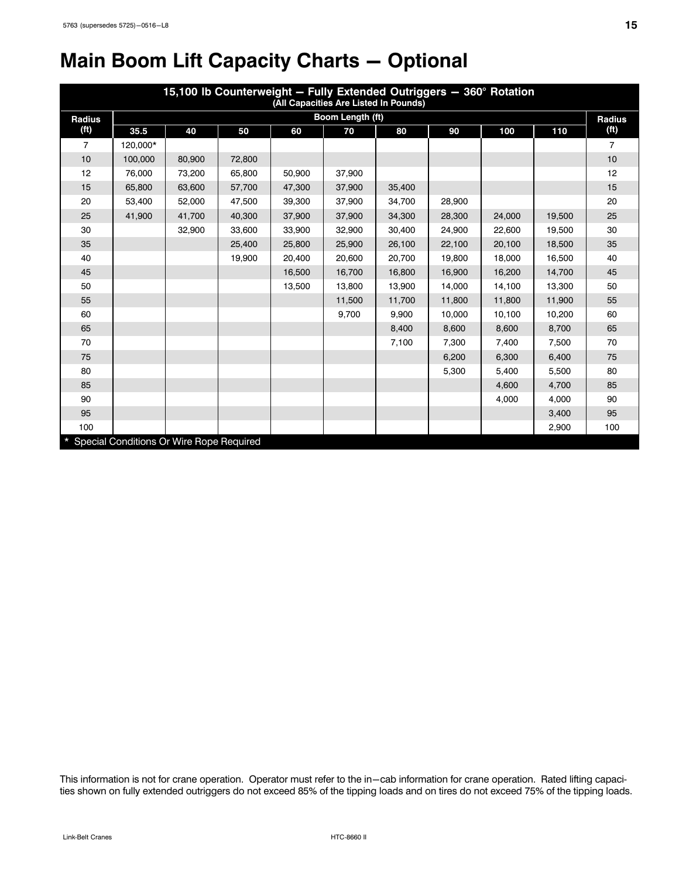## <span id="page-18-0"></span>**Main Boom Lift Capacity Charts - Optional**

|                   |                                            |        | 15,100 lb Counterweight - Fully Extended Outriggers - 360° Rotation |        |                  | (All Capacities Are Listed In Pounds) |        |        |        |                   |
|-------------------|--------------------------------------------|--------|---------------------------------------------------------------------|--------|------------------|---------------------------------------|--------|--------|--------|-------------------|
| <b>Radius</b>     |                                            |        |                                                                     |        | Boom Length (ft) |                                       |        |        |        | Radius            |
| (f <sup>t</sup> ) | 35.5                                       | 40     | 50                                                                  | 60     | 70               | 80                                    | 90     | 100    | 110    | (f <sup>t</sup> ) |
| $\overline{7}$    | 120,000*                                   |        |                                                                     |        |                  |                                       |        |        |        | $\overline{7}$    |
| 10                | 100,000                                    | 80,900 | 72,800                                                              |        |                  |                                       |        |        |        | 10                |
| 12                | 76,000                                     | 73,200 | 65,800                                                              | 50,900 | 37,900           |                                       |        |        |        | 12                |
| 15                | 65,800                                     | 63,600 | 57,700                                                              | 47,300 | 37,900           | 35,400                                |        |        |        | 15                |
| 20                | 53,400                                     | 52,000 | 47,500                                                              | 39,300 | 37,900           | 34,700                                | 28,900 |        |        | 20                |
| 25                | 41,900                                     | 41,700 | 40,300                                                              | 37,900 | 37,900           | 34,300                                | 28,300 | 24,000 | 19,500 | 25                |
| 30                |                                            | 32,900 | 33,600                                                              | 33,900 | 32,900           | 30,400                                | 24,900 | 22,600 | 19,500 | 30                |
| 35                |                                            |        | 25,400                                                              | 25,800 | 25,900           | 26,100                                | 22,100 | 20,100 | 18,500 | 35                |
| 40                |                                            |        | 19,900                                                              | 20.400 | 20.600           | 20,700                                | 19.800 | 18.000 | 16,500 | 40                |
| 45                |                                            |        |                                                                     | 16,500 | 16,700           | 16,800                                | 16,900 | 16,200 | 14,700 | 45                |
| 50                |                                            |        |                                                                     | 13,500 | 13,800           | 13,900                                | 14,000 | 14,100 | 13,300 | 50                |
| 55                |                                            |        |                                                                     |        | 11,500           | 11,700                                | 11,800 | 11,800 | 11,900 | 55                |
| 60                |                                            |        |                                                                     |        | 9,700            | 9,900                                 | 10,000 | 10,100 | 10,200 | 60                |
| 65                |                                            |        |                                                                     |        |                  | 8,400                                 | 8,600  | 8,600  | 8,700  | 65                |
| 70                |                                            |        |                                                                     |        |                  | 7,100                                 | 7,300  | 7,400  | 7,500  | 70                |
| 75                |                                            |        |                                                                     |        |                  |                                       | 6,200  | 6,300  | 6,400  | 75                |
| 80                |                                            |        |                                                                     |        |                  |                                       | 5,300  | 5,400  | 5,500  | 80                |
| 85                |                                            |        |                                                                     |        |                  |                                       |        | 4,600  | 4,700  | 85                |
| 90                |                                            |        |                                                                     |        |                  |                                       |        | 4,000  | 4,000  | 90                |
| 95                |                                            |        |                                                                     |        |                  |                                       |        |        | 3,400  | 95                |
| 100               |                                            |        |                                                                     |        |                  |                                       |        |        | 2,900  | 100               |
|                   | * Special Conditions Or Wire Rope Required |        |                                                                     |        |                  |                                       |        |        |        |                   |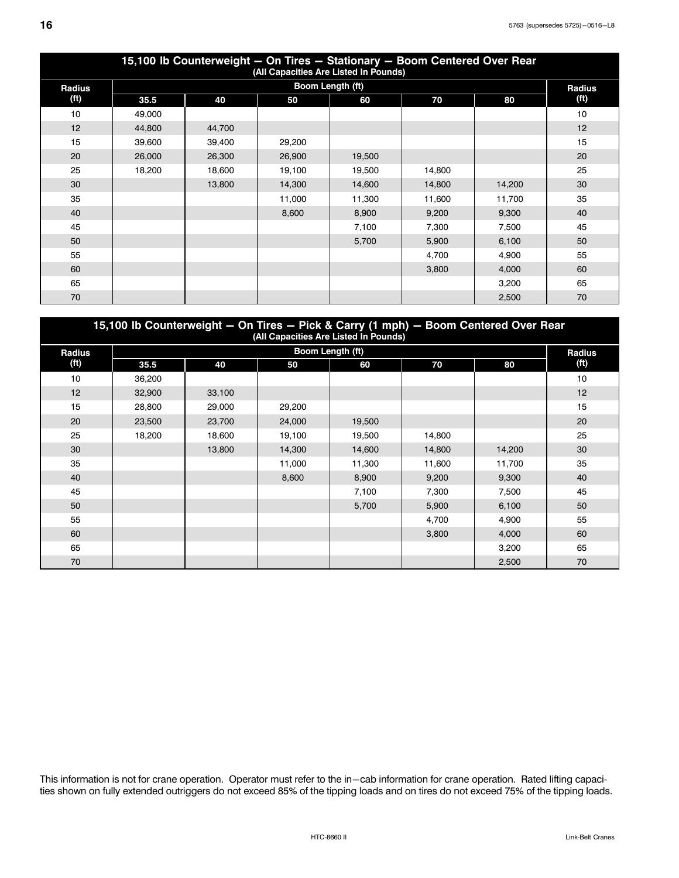<span id="page-19-0"></span>

| 15,100 lb Counterweight - On Tires - Stationary - Boom Centered Over Rear<br>(All Capacities Are Listed In Pounds) |        |               |        |        |        |        |                   |  |  |  |  |
|--------------------------------------------------------------------------------------------------------------------|--------|---------------|--------|--------|--------|--------|-------------------|--|--|--|--|
| <b>Radius</b>                                                                                                      |        | <b>Radius</b> |        |        |        |        |                   |  |  |  |  |
| (f <sup>t</sup> )                                                                                                  | 35.5   | 40            | 50     | 60     | 70     | 80     | (f <sup>t</sup> ) |  |  |  |  |
| 10                                                                                                                 | 49,000 |               |        |        |        |        | 10                |  |  |  |  |
| 12                                                                                                                 | 44,800 | 44,700        |        |        |        |        | 12                |  |  |  |  |
| 15                                                                                                                 | 39,600 | 39,400        | 29,200 |        |        |        | 15                |  |  |  |  |
| 20                                                                                                                 | 26,000 | 26,300        | 26,900 | 19,500 |        |        | 20                |  |  |  |  |
| 25                                                                                                                 | 18,200 | 18,600        | 19,100 | 19,500 | 14,800 |        | 25                |  |  |  |  |
| 30                                                                                                                 |        | 13,800        | 14,300 | 14,600 | 14,800 | 14,200 | 30                |  |  |  |  |
| 35                                                                                                                 |        |               | 11,000 | 11,300 | 11,600 | 11,700 | 35                |  |  |  |  |
| 40                                                                                                                 |        |               | 8,600  | 8,900  | 9,200  | 9,300  | 40                |  |  |  |  |
| 45                                                                                                                 |        |               |        | 7,100  | 7,300  | 7,500  | 45                |  |  |  |  |
| 50                                                                                                                 |        |               |        | 5,700  | 5,900  | 6,100  | 50                |  |  |  |  |
| 55                                                                                                                 |        |               |        |        | 4,700  | 4,900  | 55                |  |  |  |  |
| 60                                                                                                                 |        |               |        |        | 3,800  | 4,000  | 60                |  |  |  |  |
| 65                                                                                                                 |        |               |        |        |        | 3,200  | 65                |  |  |  |  |
| 70                                                                                                                 |        |               |        |        |        | 2,500  | 70                |  |  |  |  |

| 15,100 lb Counterweight - On Tires - Pick & Carry (1 mph) - Boom Centered Over Rear<br>(All Capacities Are Listed In Pounds) |        |                  |        |        |        |        |                   |  |  |  |  |
|------------------------------------------------------------------------------------------------------------------------------|--------|------------------|--------|--------|--------|--------|-------------------|--|--|--|--|
| <b>Radius</b>                                                                                                                |        | Boom Length (ft) |        |        |        |        |                   |  |  |  |  |
| (f <sup>t</sup> )                                                                                                            | 35.5   | 40               | 50     | 60     | 70     | 80     | (f <sup>t</sup> ) |  |  |  |  |
| 10                                                                                                                           | 36,200 |                  |        |        |        |        | 10                |  |  |  |  |
| 12                                                                                                                           | 32,900 | 33,100           |        |        |        |        | 12                |  |  |  |  |
| 15                                                                                                                           | 28,800 | 29,000           | 29,200 |        |        |        | 15                |  |  |  |  |
| 20                                                                                                                           | 23,500 | 23,700           | 24,000 | 19,500 |        |        | 20                |  |  |  |  |
| 25                                                                                                                           | 18,200 | 18,600           | 19,100 | 19,500 | 14,800 |        | 25                |  |  |  |  |
| 30                                                                                                                           |        | 13,800           | 14,300 | 14,600 | 14,800 | 14,200 | 30                |  |  |  |  |
| 35                                                                                                                           |        |                  | 11,000 | 11,300 | 11,600 | 11,700 | 35                |  |  |  |  |
| 40                                                                                                                           |        |                  | 8,600  | 8,900  | 9,200  | 9,300  | 40                |  |  |  |  |
| 45                                                                                                                           |        |                  |        | 7,100  | 7,300  | 7,500  | 45                |  |  |  |  |
| 50                                                                                                                           |        |                  |        | 5,700  | 5,900  | 6,100  | 50                |  |  |  |  |
| 55                                                                                                                           |        |                  |        |        | 4,700  | 4,900  | 55                |  |  |  |  |
| 60                                                                                                                           |        |                  |        |        | 3,800  | 4,000  | 60                |  |  |  |  |
| 65                                                                                                                           |        |                  |        |        |        | 3,200  | 65                |  |  |  |  |
| 70                                                                                                                           |        |                  |        |        |        | 2,500  | 70                |  |  |  |  |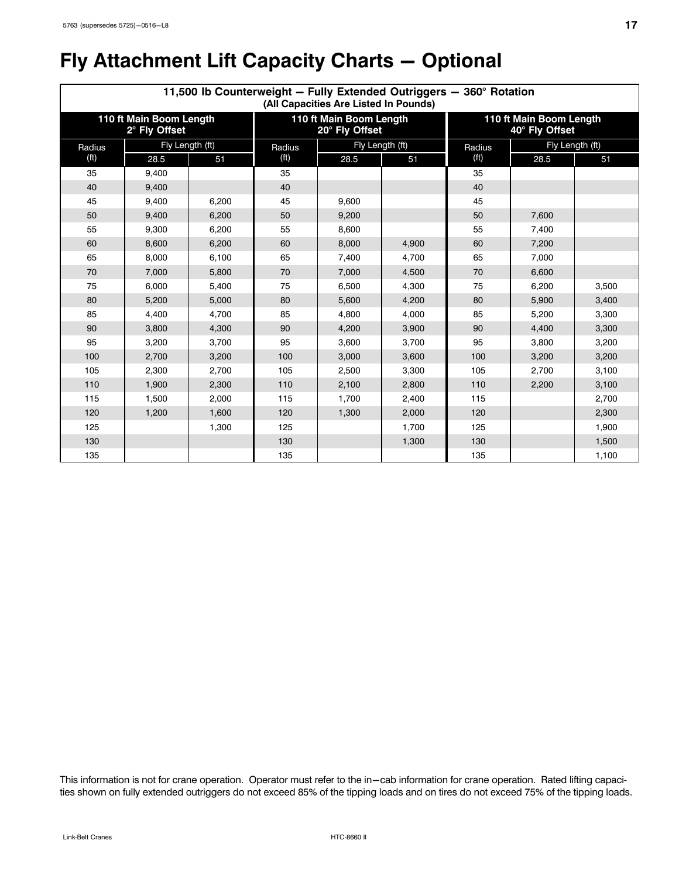<span id="page-20-0"></span>

| 11,500 lb Counterweight - Fully Extended Outriggers - 360° Rotation<br>(All Capacities Are Listed In Pounds) |       |                 |                   |                                           |       |                                           |                 |       |  |  |  |  |
|--------------------------------------------------------------------------------------------------------------|-------|-----------------|-------------------|-------------------------------------------|-------|-------------------------------------------|-----------------|-------|--|--|--|--|
| 110 ft Main Boom Length<br>2° Fly Offset                                                                     |       |                 |                   | 110 ft Main Boom Length<br>20° Fly Offset |       | 110 ft Main Boom Length<br>40° Fly Offset |                 |       |  |  |  |  |
| Radius                                                                                                       |       | Fly Length (ft) | Radius            | Fly Length (ft)                           |       | Radius                                    | Fly Length (ft) |       |  |  |  |  |
| (f <sup>t</sup> )                                                                                            | 28.5  | 51              | (f <sup>t</sup> ) | 28.5                                      | 51    | (f <sup>t</sup> )                         | 28.5            | 51    |  |  |  |  |
| 35                                                                                                           | 9,400 |                 | 35                |                                           |       | 35                                        |                 |       |  |  |  |  |
| 40                                                                                                           | 9,400 |                 | 40                |                                           |       | 40                                        |                 |       |  |  |  |  |
| 45                                                                                                           | 9,400 | 6,200           | 45                | 9.600                                     |       | 45                                        |                 |       |  |  |  |  |
| 50                                                                                                           | 9,400 | 6,200           | 50                | 9,200                                     |       | 50                                        | 7,600           |       |  |  |  |  |
| 55                                                                                                           | 9,300 | 6,200           | 55                | 8,600                                     |       | 55                                        | 7,400           |       |  |  |  |  |
| 60                                                                                                           | 8,600 | 6,200           | 60                | 8,000                                     | 4.900 | 60                                        | 7,200           |       |  |  |  |  |
| 65                                                                                                           | 8,000 | 6,100           | 65                | 7,400                                     | 4,700 | 65                                        | 7,000           |       |  |  |  |  |
| 70                                                                                                           | 7,000 | 5,800           | 70                | 7,000                                     | 4,500 | 70                                        | 6,600           |       |  |  |  |  |
| 75                                                                                                           | 6,000 | 5,400           | 75                | 6,500                                     | 4,300 | 75                                        | 6,200           | 3,500 |  |  |  |  |
| 80                                                                                                           | 5,200 | 5,000           | 80                | 5,600                                     | 4,200 | 80                                        | 5,900           | 3,400 |  |  |  |  |
| 85                                                                                                           | 4,400 | 4,700           | 85                | 4,800                                     | 4,000 | 85                                        | 5,200           | 3,300 |  |  |  |  |
| 90                                                                                                           | 3,800 | 4,300           | 90                | 4,200                                     | 3,900 | 90                                        | 4,400           | 3,300 |  |  |  |  |
| 95                                                                                                           | 3,200 | 3,700           | 95                | 3,600                                     | 3,700 | 95                                        | 3,800           | 3,200 |  |  |  |  |
| 100                                                                                                          | 2,700 | 3,200           | 100               | 3,000                                     | 3,600 | 100                                       | 3,200           | 3,200 |  |  |  |  |
| 105                                                                                                          | 2,300 | 2,700           | 105               | 2,500                                     | 3,300 | 105                                       | 2,700           | 3,100 |  |  |  |  |
| 110                                                                                                          | 1,900 | 2,300           | 110               | 2,100                                     | 2,800 | 110                                       | 2,200           | 3,100 |  |  |  |  |
| 115                                                                                                          | 1.500 | 2.000           | 115               | 1.700                                     | 2.400 | 115                                       |                 | 2.700 |  |  |  |  |
| 120                                                                                                          | 1,200 | 1.600           | 120               | 1.300                                     | 2,000 | 120                                       |                 | 2,300 |  |  |  |  |
| 125                                                                                                          |       | 1,300           | 125               |                                           | 1.700 | 125                                       |                 | 1,900 |  |  |  |  |
| 130                                                                                                          |       |                 | 130               |                                           | 1,300 | 130                                       |                 | 1,500 |  |  |  |  |
| 135                                                                                                          |       |                 | 135               |                                           |       | 135                                       |                 | 1,100 |  |  |  |  |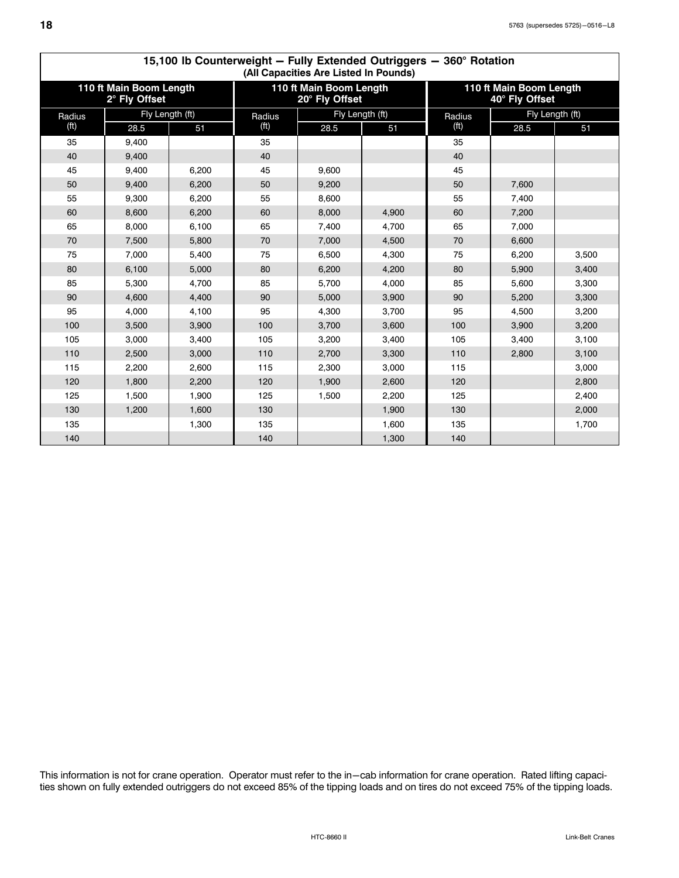<span id="page-21-0"></span>

|                   | 15,100 lb Counterweight - Fully Extended Outriggers - 360° Rotation<br>(All Capacities Are Listed In Pounds) |                 |                   |                                           |                 |                   |                                           |                 |  |  |  |  |
|-------------------|--------------------------------------------------------------------------------------------------------------|-----------------|-------------------|-------------------------------------------|-----------------|-------------------|-------------------------------------------|-----------------|--|--|--|--|
|                   | 110 ft Main Boom Length<br>2° Fly Offset                                                                     |                 |                   | 110 ft Main Boom Length<br>20° Fly Offset |                 |                   | 110 ft Main Boom Length<br>40° Fly Offset |                 |  |  |  |  |
| Radius            |                                                                                                              | Fly Length (ft) | Radius            |                                           | Fly Length (ft) | Radius            |                                           | Fly Length (ft) |  |  |  |  |
| (f <sup>t</sup> ) | 28.5                                                                                                         | 51              | (f <sup>t</sup> ) | 28.5                                      | 51              | (f <sup>t</sup> ) | 28.5                                      | 51              |  |  |  |  |
| 35                | 9,400                                                                                                        |                 | 35                |                                           |                 | 35                |                                           |                 |  |  |  |  |
| 40                | 9,400                                                                                                        |                 | 40                |                                           |                 | 40                |                                           |                 |  |  |  |  |
| 45                | 9.400                                                                                                        | 6,200           | 45                | 9.600                                     |                 | 45                |                                           |                 |  |  |  |  |
| 50                | 9,400                                                                                                        | 6,200           | 50                | 9,200                                     |                 | 50                | 7,600                                     |                 |  |  |  |  |
| 55                | 9,300                                                                                                        | 6,200           | 55                | 8,600                                     |                 | 55                | 7,400                                     |                 |  |  |  |  |
| 60                | 8.600                                                                                                        | 6,200           | 60                | 8,000                                     | 4.900           | 60                | 7,200                                     |                 |  |  |  |  |
| 65                | 8,000                                                                                                        | 6,100           | 65                | 7,400                                     | 4,700           | 65                | 7,000                                     |                 |  |  |  |  |
| 70                | 7,500                                                                                                        | 5,800           | 70                | 7,000                                     | 4,500           | 70                | 6,600                                     |                 |  |  |  |  |
| 75                | 7,000                                                                                                        | 5,400           | 75                | 6,500                                     | 4,300           | 75                | 6,200                                     | 3,500           |  |  |  |  |
| 80                | 6,100                                                                                                        | 5,000           | 80                | 6,200                                     | 4,200           | 80                | 5,900                                     | 3,400           |  |  |  |  |
| 85                | 5,300                                                                                                        | 4,700           | 85                | 5,700                                     | 4,000           | 85                | 5.600                                     | 3,300           |  |  |  |  |
| 90                | 4,600                                                                                                        | 4,400           | 90                | 5,000                                     | 3,900           | 90                | 5,200                                     | 3,300           |  |  |  |  |
| 95                | 4,000                                                                                                        | 4,100           | 95                | 4,300                                     | 3,700           | 95                | 4,500                                     | 3,200           |  |  |  |  |
| 100               | 3,500                                                                                                        | 3,900           | 100               | 3,700                                     | 3,600           | 100               | 3,900                                     | 3,200           |  |  |  |  |
| 105               | 3,000                                                                                                        | 3,400           | 105               | 3,200                                     | 3,400           | 105               | 3,400                                     | 3,100           |  |  |  |  |
| 110               | 2,500                                                                                                        | 3,000           | 110               | 2,700                                     | 3,300           | 110               | 2,800                                     | 3,100           |  |  |  |  |
| 115               | 2,200                                                                                                        | 2,600           | 115               | 2,300                                     | 3,000           | 115               |                                           | 3,000           |  |  |  |  |
| 120               | 1,800                                                                                                        | 2,200           | 120               | 1,900                                     | 2,600           | 120               |                                           | 2,800           |  |  |  |  |
| 125               | 1.500                                                                                                        | 1,900           | 125               | 1,500                                     | 2.200           | 125               |                                           | 2,400           |  |  |  |  |
| 130               | 1,200                                                                                                        | 1,600           | 130               |                                           | 1,900           | 130               |                                           | 2,000           |  |  |  |  |
| 135               |                                                                                                              | 1,300           | 135               |                                           | 1,600           | 135               |                                           | 1,700           |  |  |  |  |
| 140               |                                                                                                              |                 | 140               |                                           | 1,300           | 140               |                                           |                 |  |  |  |  |

## **15,100 lb Counterweight - Fully Extended Outriggers - 360° Rotation**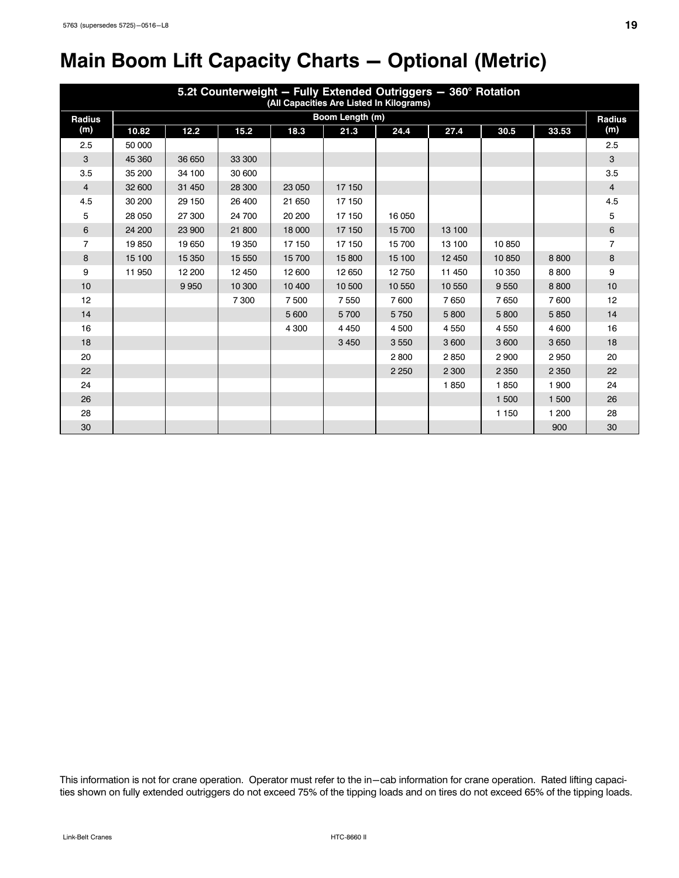<span id="page-22-0"></span>

| 5.2t Counterweight - Fully Extended Outriggers - 360° Rotation<br>(All Capacities Are Listed In Kilograms) |        |        |        |         |                 |         |         |         |         |                |  |  |  |
|------------------------------------------------------------------------------------------------------------|--------|--------|--------|---------|-----------------|---------|---------|---------|---------|----------------|--|--|--|
| <b>Radius</b>                                                                                              |        |        |        |         | Boom Length (m) |         |         |         |         | <b>Radius</b>  |  |  |  |
| (m)                                                                                                        | 10.82  | 12.2   | 15.2   | 18.3    | 21.3            | 24.4    | 27.4    | 30.5    | 33.53   | (m)            |  |  |  |
| 2.5                                                                                                        | 50 000 |        |        |         |                 |         |         |         |         | 2.5            |  |  |  |
| 3                                                                                                          | 45 360 | 36 650 | 33 300 |         |                 |         |         |         |         | 3              |  |  |  |
| 3.5                                                                                                        | 35 200 | 34 100 | 30 600 |         |                 |         |         |         |         | 3.5            |  |  |  |
| $\overline{4}$                                                                                             | 32 600 | 31 450 | 28 300 | 23 050  | 17 150          |         |         |         |         | $\overline{4}$ |  |  |  |
| 4.5                                                                                                        | 30 200 | 29 150 | 26 400 | 21 650  | 17 150          |         |         |         |         | 4.5            |  |  |  |
| 5                                                                                                          | 28 050 | 27 300 | 24 700 | 20 200  | 17 150          | 16 050  |         |         |         | 5              |  |  |  |
| 6                                                                                                          | 24 200 | 23 900 | 21 800 | 18 000  | 17 150          | 15 700  | 13 100  |         |         | 6              |  |  |  |
| $\overline{7}$                                                                                             | 19850  | 19650  | 19 350 | 17 150  | 17 150          | 15 700  | 13 100  | 10850   |         | $\overline{7}$ |  |  |  |
| 8                                                                                                          | 15 100 | 15 350 | 15 550 | 15700   | 15 800          | 15 100  | 12 450  | 10850   | 8800    | 8              |  |  |  |
| 9                                                                                                          | 11 950 | 12 200 | 12 450 | 12 600  | 12 650          | 12750   | 11 450  | 10 350  | 8800    | 9              |  |  |  |
| 10                                                                                                         |        | 9950   | 10 300 | 10 400  | 10 500          | 10 550  | 10 550  | 9 5 5 0 | 8800    | 10             |  |  |  |
| 12                                                                                                         |        |        | 7 300  | 7500    | 7550            | 7600    | 7650    | 7650    | 7600    | 12             |  |  |  |
| 14                                                                                                         |        |        |        | 5 600   | 5700            | 5750    | 5800    | 5800    | 5850    | 14             |  |  |  |
| 16                                                                                                         |        |        |        | 4 3 0 0 | 4 4 5 0         | 4 500   | 4 5 5 0 | 4 5 5 0 | 4 600   | 16             |  |  |  |
| 18                                                                                                         |        |        |        |         | 3 4 5 0         | 3 5 5 0 | 3 600   | 3 600   | 3650    | 18             |  |  |  |
| 20                                                                                                         |        |        |        |         |                 | 2800    | 2850    | 2 9 0 0 | 2950    | 20             |  |  |  |
| 22                                                                                                         |        |        |        |         |                 | 2 2 5 0 | 2 3 0 0 | 2 3 5 0 | 2 3 5 0 | 22             |  |  |  |
| 24                                                                                                         |        |        |        |         |                 |         | 1850    | 1850    | 1 900   | 24             |  |  |  |
| 26                                                                                                         |        |        |        |         |                 |         |         | 1 500   | 1 500   | 26             |  |  |  |
| 28                                                                                                         |        |        |        |         |                 |         |         | 1 1 5 0 | 1 200   | 28             |  |  |  |
| 30                                                                                                         |        |        |        |         |                 |         |         |         | 900     | 30             |  |  |  |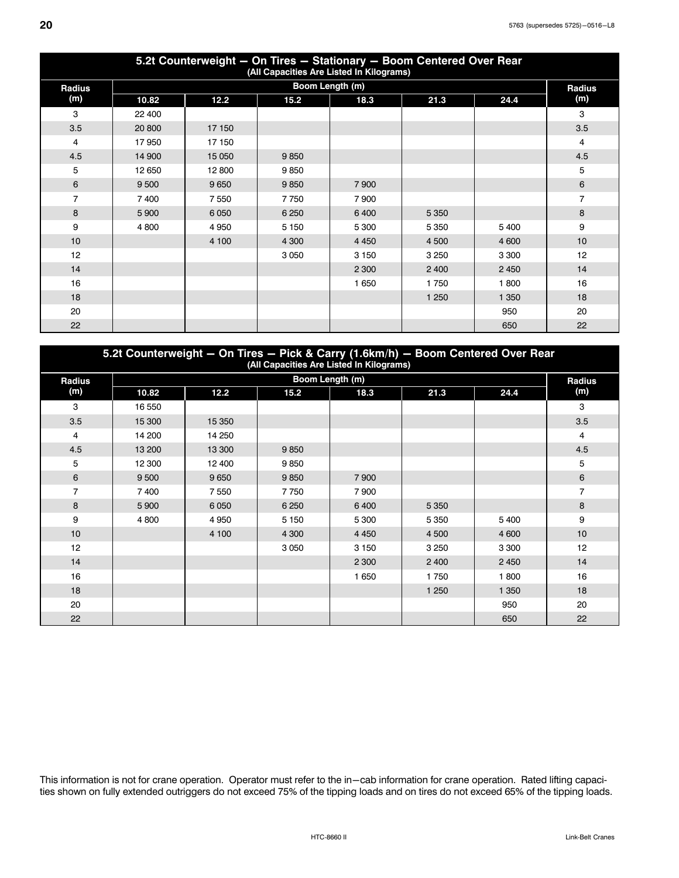<span id="page-23-0"></span>

| 5.2t Counterweight - On Tires - Stationary - Boom Centered Over Rear<br>(All Capacities Are Listed In Kilograms) |         |         |                 |         |         |         |               |  |  |  |
|------------------------------------------------------------------------------------------------------------------|---------|---------|-----------------|---------|---------|---------|---------------|--|--|--|
| <b>Radius</b>                                                                                                    |         |         | Boom Length (m) |         |         |         | <b>Radius</b> |  |  |  |
| (m)                                                                                                              | 10.82   | 12.2    | 15.2            | 18.3    | 21.3    | 24.4    | (m)           |  |  |  |
| 3                                                                                                                | 22 400  |         |                 |         |         |         | 3             |  |  |  |
| 3.5                                                                                                              | 20 800  | 17 150  |                 |         |         |         | 3.5           |  |  |  |
| 4                                                                                                                | 17950   | 17 150  |                 |         |         |         | 4             |  |  |  |
| 4.5                                                                                                              | 14 900  | 15 0 50 | 9850            |         |         |         | 4.5           |  |  |  |
| 5                                                                                                                | 12 650  | 12800   | 9850            |         |         |         | 5             |  |  |  |
| 6                                                                                                                | 9 5 0 0 | 9650    | 9850            | 7 9 0 0 |         |         | 6             |  |  |  |
| $\overline{7}$                                                                                                   | 7400    | 7550    | 7750            | 7900    |         |         | 7             |  |  |  |
| 8                                                                                                                | 5 9 0 0 | 6 0 5 0 | 6 2 5 0         | 6400    | 5 3 5 0 |         | 8             |  |  |  |
| 9                                                                                                                | 4 800   | 4 9 5 0 | 5 1 5 0         | 5 300   | 5 3 5 0 | 5400    | 9             |  |  |  |
| 10                                                                                                               |         | 4 100   | 4 3 0 0         | 4 4 5 0 | 4 500   | 4 600   | 10            |  |  |  |
| 12                                                                                                               |         |         | 3050            | 3 1 5 0 | 3 2 5 0 | 3 3 0 0 | 12            |  |  |  |
| 14                                                                                                               |         |         |                 | 2 3 0 0 | 2 4 0 0 | 2 4 5 0 | 14            |  |  |  |
| 16                                                                                                               |         |         |                 | 1 650   | 1750    | 1800    | 16            |  |  |  |
| 18                                                                                                               |         |         |                 |         | 1 2 5 0 | 1 3 5 0 | 18            |  |  |  |
| 20                                                                                                               |         |         |                 |         |         | 950     | 20            |  |  |  |
| 22                                                                                                               |         |         |                 |         |         | 650     | 22            |  |  |  |

| 5.2t Counterweight - On Tires - Pick & Carry (1.6km/h) - Boom Centered Over Rear<br>(All Capacities Are Listed In Kilograms) |         |         |         |                 |         |         |                |  |  |  |
|------------------------------------------------------------------------------------------------------------------------------|---------|---------|---------|-----------------|---------|---------|----------------|--|--|--|
| Radius                                                                                                                       |         |         |         | Boom Length (m) |         |         | <b>Radius</b>  |  |  |  |
| (m)                                                                                                                          | 10.82   | 12.2    | 15.2    | 18.3            | 21.3    | 24.4    | (m)            |  |  |  |
| 3                                                                                                                            | 16 550  |         |         |                 |         |         | 3              |  |  |  |
| 3.5                                                                                                                          | 15 300  | 15 350  |         |                 |         |         | 3.5            |  |  |  |
| 4                                                                                                                            | 14 200  | 14 250  |         |                 |         |         | 4              |  |  |  |
| 4.5                                                                                                                          | 13 200  | 13 300  | 9850    |                 |         |         | 4.5            |  |  |  |
| 5                                                                                                                            | 12 300  | 12 400  | 9850    |                 |         |         | 5              |  |  |  |
| 6                                                                                                                            | 9 500   | 9650    | 9850    | 7 9 0 0         |         |         | 6              |  |  |  |
| $\overline{7}$                                                                                                               | 7400    | 7550    | 7750    | 7 9 0 0         |         |         | $\overline{7}$ |  |  |  |
| 8                                                                                                                            | 5 9 0 0 | 6 0 5 0 | 6 2 5 0 | 6 4 0 0         | 5 3 5 0 |         | 8              |  |  |  |
| 9                                                                                                                            | 4 800   | 4 9 5 0 | 5 1 5 0 | 5 300           | 5 3 5 0 | 5400    | 9              |  |  |  |
| 10                                                                                                                           |         | 4 100   | 4 3 0 0 | 4 4 5 0         | 4 500   | 4 600   | 10             |  |  |  |
| 12                                                                                                                           |         |         | 3 0 5 0 | 3 1 5 0         | 3 2 5 0 | 3 3 0 0 | 12             |  |  |  |
| 14                                                                                                                           |         |         |         | 2 3 0 0         | 2 4 0 0 | 2 4 5 0 | 14             |  |  |  |
| 16                                                                                                                           |         |         |         | 1 650           | 1750    | 1800    | 16             |  |  |  |
| 18                                                                                                                           |         |         |         |                 | 1 2 5 0 | 1 3 5 0 | 18             |  |  |  |
| 20                                                                                                                           |         |         |         |                 |         | 950     | 20             |  |  |  |
| 22                                                                                                                           |         |         |         |                 |         | 650     | 22             |  |  |  |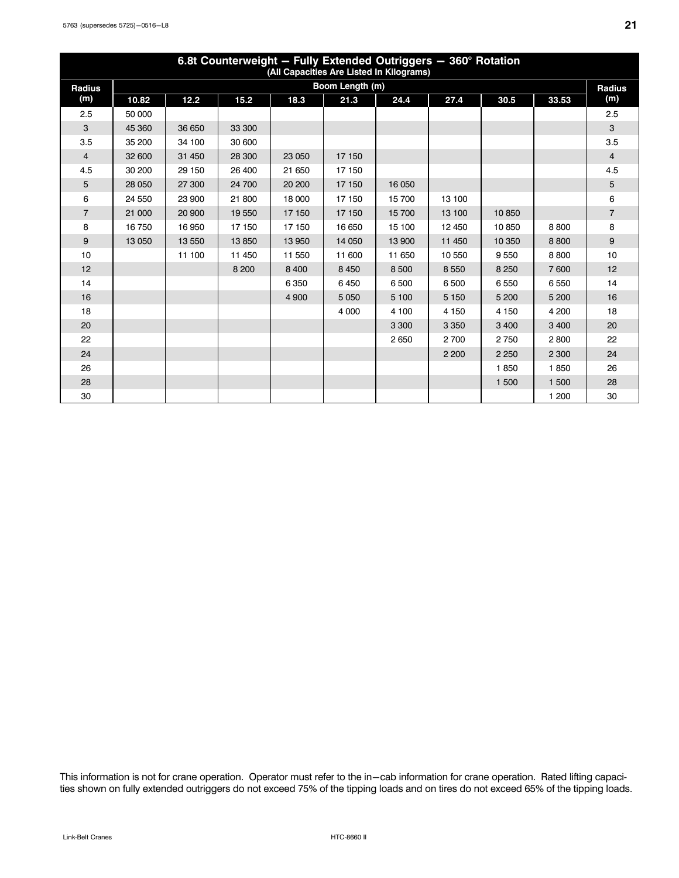<span id="page-24-0"></span>

| 6.8t Counterweight - Fully Extended Outriggers - 360° Rotation<br>(All Capacities Are Listed In Kilograms) |         |        |         |         |                 |         |         |         |         |                |  |  |  |
|------------------------------------------------------------------------------------------------------------|---------|--------|---------|---------|-----------------|---------|---------|---------|---------|----------------|--|--|--|
| Radius                                                                                                     |         |        |         |         | Boom Length (m) |         |         |         |         | <b>Radius</b>  |  |  |  |
| (m)                                                                                                        | 10.82   | 12.2   | 15.2    | 18.3    | 21.3            | 24.4    | 27.4    | 30.5    | 33.53   | (m)            |  |  |  |
| 2.5                                                                                                        | 50 000  |        |         |         |                 |         |         |         |         | 2.5            |  |  |  |
| 3                                                                                                          | 45 360  | 36 650 | 33 300  |         |                 |         |         |         |         | 3              |  |  |  |
| 3.5                                                                                                        | 35 200  | 34 100 | 30 600  |         |                 |         |         |         |         | 3.5            |  |  |  |
| 4                                                                                                          | 32 600  | 31 450 | 28 300  | 23 050  | 17 150          |         |         |         |         | $\overline{4}$ |  |  |  |
| 4.5                                                                                                        | 30 200  | 29 150 | 26 400  | 21 650  | 17 150          |         |         |         |         | 4.5            |  |  |  |
| 5                                                                                                          | 28 050  | 27 300 | 24 700  | 20 200  | 17 150          | 16 050  |         |         |         | 5              |  |  |  |
| 6                                                                                                          | 24 550  | 23 900 | 21 800  | 18 000  | 17 150          | 15 700  | 13 100  |         |         | 6              |  |  |  |
| $\overline{7}$                                                                                             | 21 000  | 20 900 | 19550   | 17 150  | 17 150          | 15 700  | 13 100  | 10850   |         | $\overline{7}$ |  |  |  |
| 8                                                                                                          | 16750   | 16950  | 17 150  | 17 150  | 16 650          | 15 100  | 12 450  | 10850   | 8800    | 8              |  |  |  |
| 9                                                                                                          | 13 0 50 | 13 550 | 13850   | 13 950  | 14 050          | 13 900  | 11 450  | 10 350  | 8800    | 9              |  |  |  |
| 10                                                                                                         |         | 11 100 | 11 450  | 11 550  | 11 600          | 11 650  | 10 550  | 9550    | 8800    | 10             |  |  |  |
| 12                                                                                                         |         |        | 8 2 0 0 | 8 4 0 0 | 8 4 5 0         | 8 500   | 8 5 5 0 | 8 2 5 0 | 7600    | 12             |  |  |  |
| 14                                                                                                         |         |        |         | 6350    | 6450            | 6 500   | 6 500   | 6 5 5 0 | 6550    | 14             |  |  |  |
| 16                                                                                                         |         |        |         | 4 9 0 0 | 5 0 5 0         | 5 100   | 5 1 5 0 | 5 200   | 5 200   | 16             |  |  |  |
| 18                                                                                                         |         |        |         |         | 4 0 0 0         | 4 100   | 4 150   | 4 150   | 4 200   | 18             |  |  |  |
| 20                                                                                                         |         |        |         |         |                 | 3 3 0 0 | 3 3 5 0 | 3 4 0 0 | 3 4 0 0 | 20             |  |  |  |
| 22                                                                                                         |         |        |         |         |                 | 2650    | 2 700   | 2750    | 2800    | 22             |  |  |  |
| 24                                                                                                         |         |        |         |         |                 |         | 2 2 0 0 | 2 2 5 0 | 2 3 0 0 | 24             |  |  |  |
| 26                                                                                                         |         |        |         |         |                 |         |         | 1850    | 1850    | 26             |  |  |  |
| 28                                                                                                         |         |        |         |         |                 |         |         | 1 500   | 1 500   | 28             |  |  |  |
| 30                                                                                                         |         |        |         |         |                 |         |         |         | 1 200   | 30             |  |  |  |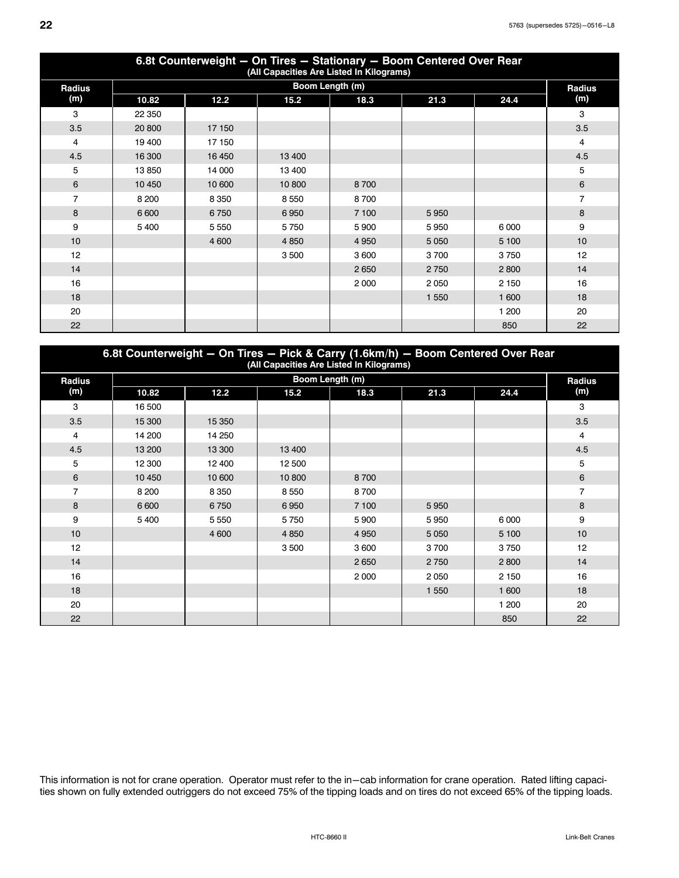<span id="page-25-0"></span>

| 6.8t Counterweight - On Tires - Stationary - Boom Centered Over Rear<br>(All Capacities Are Listed In Kilograms) |         |         |         |                 |         |         |               |  |  |  |
|------------------------------------------------------------------------------------------------------------------|---------|---------|---------|-----------------|---------|---------|---------------|--|--|--|
| Radius                                                                                                           |         |         |         | Boom Length (m) |         |         | <b>Radius</b> |  |  |  |
| (m)                                                                                                              | 10.82   | 12.2    | 15.2    | 18.3            | 21.3    | 24.4    | (m)           |  |  |  |
| 3                                                                                                                | 22 350  |         |         |                 |         |         | 3             |  |  |  |
| 3.5                                                                                                              | 20 800  | 17 150  |         |                 |         |         | 3.5           |  |  |  |
| 4                                                                                                                | 19 400  | 17 150  |         |                 |         |         | 4             |  |  |  |
| 4.5                                                                                                              | 16 300  | 16 450  | 13 400  |                 |         |         | 4.5           |  |  |  |
| 5                                                                                                                | 13850   | 14 000  | 13 400  |                 |         |         | 5             |  |  |  |
| 6                                                                                                                | 10 450  | 10 600  | 10 800  | 8700            |         |         | 6             |  |  |  |
| $\overline{7}$                                                                                                   | 8 2 0 0 | 8 3 5 0 | 8550    | 8700            |         |         | 7             |  |  |  |
| 8                                                                                                                | 6 600   | 6750    | 6950    | 7 100           | 5950    |         | 8             |  |  |  |
| 9                                                                                                                | 5 4 0 0 | 5 5 5 0 | 5750    | 5 9 0 0         | 5950    | 6 0 0 0 | 9             |  |  |  |
| 10                                                                                                               |         | 4 600   | 4 8 5 0 | 4 9 5 0         | 5 0 5 0 | 5 100   | 10            |  |  |  |
| 12                                                                                                               |         |         | 3500    | 3600            | 3 700   | 3750    | 12            |  |  |  |
| 14                                                                                                               |         |         |         | 2650            | 2 7 5 0 | 2800    | 14            |  |  |  |
| 16                                                                                                               |         |         |         | 2 0 0 0         | 2 0 5 0 | 2 1 5 0 | 16            |  |  |  |
| 18                                                                                                               |         |         |         |                 | 1 5 5 0 | 1 600   | 18            |  |  |  |
| 20                                                                                                               |         |         |         |                 |         | 1 200   | 20            |  |  |  |
| 22                                                                                                               |         |         |         |                 |         | 850     | 22            |  |  |  |

| 6.8t Counterweight - On Tires - Pick & Carry (1.6km/h) - Boom Centered Over Rear<br>(All Capacities Are Listed In Kilograms) |         |         |         |                 |         |         |                |  |  |  |
|------------------------------------------------------------------------------------------------------------------------------|---------|---------|---------|-----------------|---------|---------|----------------|--|--|--|
| <b>Radius</b>                                                                                                                |         |         |         | Boom Length (m) |         |         | <b>Radius</b>  |  |  |  |
| (m)                                                                                                                          | 10.82   | 12.2    | 15.2    | 18.3            | 21.3    | 24.4    | (m)            |  |  |  |
| 3                                                                                                                            | 16 500  |         |         |                 |         |         | 3              |  |  |  |
| 3.5                                                                                                                          | 15 300  | 15 350  |         |                 |         |         | 3.5            |  |  |  |
| 4                                                                                                                            | 14 200  | 14 250  |         |                 |         |         | 4              |  |  |  |
| 4.5                                                                                                                          | 13 200  | 13 300  | 13 400  |                 |         |         | 4.5            |  |  |  |
| 5                                                                                                                            | 12 300  | 12 400  | 12 500  |                 |         |         | 5              |  |  |  |
| 6                                                                                                                            | 10 450  | 10 600  | 10 800  | 8700            |         |         | 6              |  |  |  |
| $\overline{7}$                                                                                                               | 8 2 0 0 | 8 3 5 0 | 8550    | 8700            |         |         | $\overline{7}$ |  |  |  |
| 8                                                                                                                            | 6 600   | 6750    | 6950    | 7 100           | 5950    |         | 8              |  |  |  |
| 9                                                                                                                            | 5 4 0 0 | 5 5 5 0 | 5750    | 5 9 0 0         | 5950    | 6000    | 9              |  |  |  |
| 10                                                                                                                           |         | 4 600   | 4 8 5 0 | 4 9 5 0         | 5 0 5 0 | 5 100   | 10             |  |  |  |
| 12                                                                                                                           |         |         | 3500    | 3 600           | 3700    | 3750    | 12             |  |  |  |
| 14                                                                                                                           |         |         |         | 2650            | 2750    | 2800    | 14             |  |  |  |
| 16                                                                                                                           |         |         |         | 2 0 0 0         | 2 0 5 0 | 2 1 5 0 | 16             |  |  |  |
| 18                                                                                                                           |         |         |         |                 | 1 5 5 0 | 1 600   | 18             |  |  |  |
| 20                                                                                                                           |         |         |         |                 |         | 1 200   | 20             |  |  |  |
| 22                                                                                                                           |         |         |         |                 |         | 850     | 22             |  |  |  |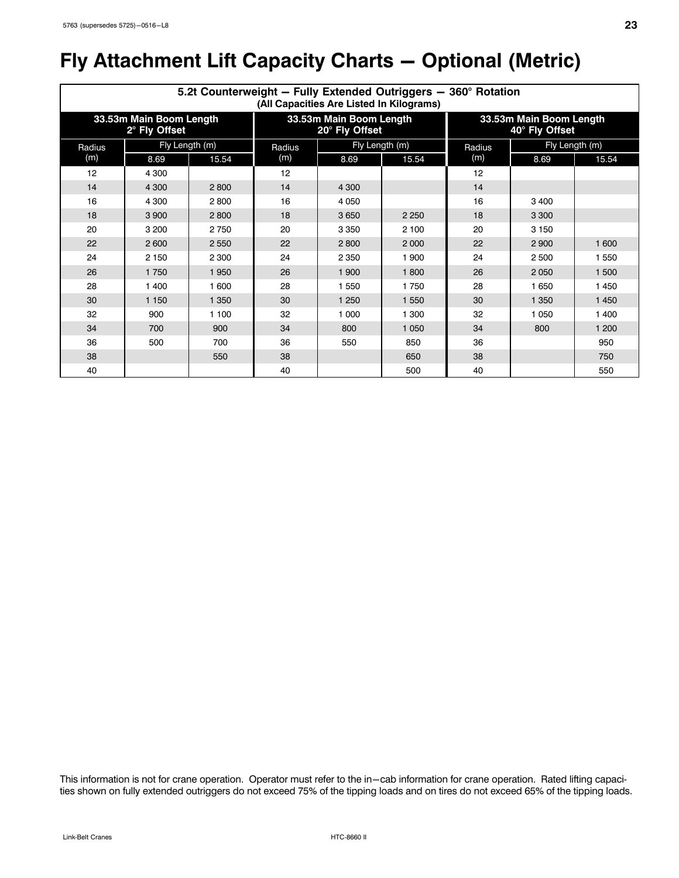<span id="page-26-0"></span>

|                                          | 5.2t Counterweight - Fully Extended Outriggers - 360° Rotation<br>(All Capacities Are Listed In Kilograms) |                |        |                                           |                |        |                                           |                |  |  |  |  |  |
|------------------------------------------|------------------------------------------------------------------------------------------------------------|----------------|--------|-------------------------------------------|----------------|--------|-------------------------------------------|----------------|--|--|--|--|--|
| 33.53m Main Boom Length<br>2° Fly Offset |                                                                                                            |                |        | 33.53m Main Boom Length<br>20° Fly Offset |                |        | 33.53m Main Boom Length<br>40° Fly Offset |                |  |  |  |  |  |
| Radius                                   |                                                                                                            | Fly Length (m) | Radius |                                           | Fly Length (m) | Radius |                                           | Fly Length (m) |  |  |  |  |  |
| (m)                                      | 8.69                                                                                                       | 15.54          | (m)    | 8.69                                      | 15.54          | (m)    | 8.69                                      | 15.54          |  |  |  |  |  |
| 12                                       | 4 300                                                                                                      |                | 12     |                                           |                | 12     |                                           |                |  |  |  |  |  |
| 14                                       | 4 3 0 0                                                                                                    | 2800           | 14     | 4 3 0 0                                   |                | 14     |                                           |                |  |  |  |  |  |
| 16                                       | 4 3 0 0                                                                                                    | 2800           | 16     | 4 0 5 0                                   |                | 16     | 3 4 0 0                                   |                |  |  |  |  |  |
| 18                                       | 3 9 0 0                                                                                                    | 2800           | 18     | 3650                                      | 2 2 5 0        | 18     | 3 3 0 0                                   |                |  |  |  |  |  |
| 20                                       | 3 2 0 0                                                                                                    | 2 7 5 0        | 20     | 3 3 5 0                                   | 2 100          | 20     | 3 1 5 0                                   |                |  |  |  |  |  |
| 22                                       | 2600                                                                                                       | 2 5 5 0        | 22     | 2800                                      | 2 0 0 0        | 22     | 2 9 0 0                                   | 1 600          |  |  |  |  |  |
| 24                                       | 2 1 5 0                                                                                                    | 2 3 0 0        | 24     | 2 3 5 0                                   | 1 900          | 24     | 2500                                      | 1 550          |  |  |  |  |  |
| 26                                       | 1750                                                                                                       | 1 9 5 0        | 26     | 1 900                                     | 1800           | 26     | 2050                                      | 1 500          |  |  |  |  |  |
| 28                                       | 1 400                                                                                                      | 1 600          | 28     | 1550                                      | 1750           | 28     | 1650                                      | 1 450          |  |  |  |  |  |
| 30                                       | 1 1 5 0                                                                                                    | 1 3 5 0        | 30     | 1 2 5 0                                   | 1 5 5 0        | 30     | 1 3 5 0                                   | 1 4 5 0        |  |  |  |  |  |
| 32                                       | 900                                                                                                        | 1 100          | 32     | 1 0 0 0                                   | 1 300          | 32     | 1 0 5 0                                   | 1 400          |  |  |  |  |  |
| 34                                       | 700                                                                                                        | 900            | 34     | 800                                       | 1 0 5 0        | 34     | 800                                       | 1 200          |  |  |  |  |  |
| 36                                       | 500                                                                                                        | 700            | 36     | 550                                       | 850            | 36     |                                           | 950            |  |  |  |  |  |
| 38                                       |                                                                                                            | 550            | 38     |                                           | 650            | 38     |                                           | 750            |  |  |  |  |  |
| 40                                       |                                                                                                            |                | 40     |                                           | 500            | 40     |                                           | 550            |  |  |  |  |  |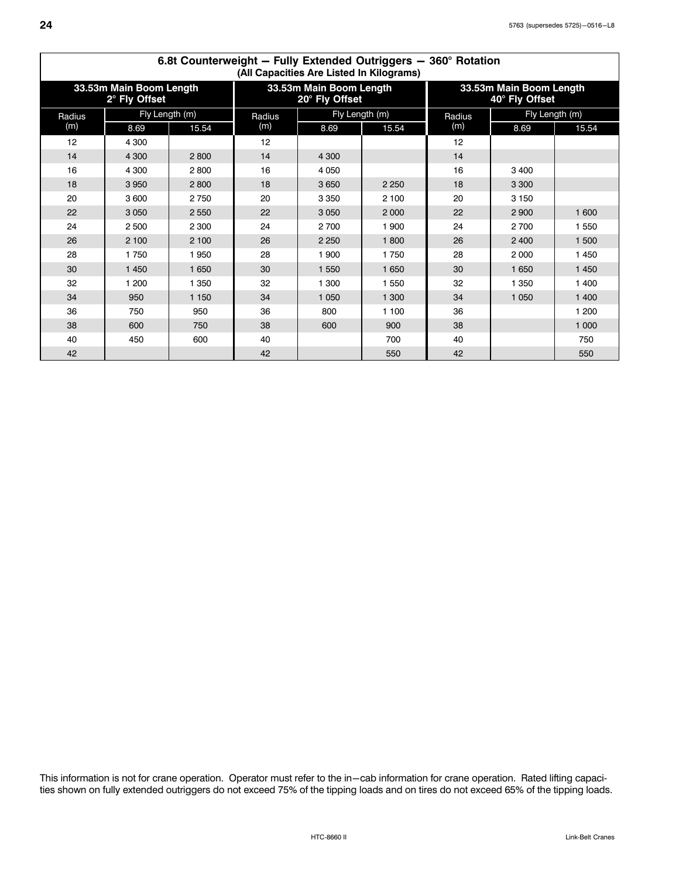<span id="page-27-0"></span>

|        | 6.8t Counterweight - Fully Extended Outriggers - 360° Rotation<br>(All Capacities Are Listed In Kilograms) |                |        |                                           |         |        |                                           |         |  |  |  |  |  |
|--------|------------------------------------------------------------------------------------------------------------|----------------|--------|-------------------------------------------|---------|--------|-------------------------------------------|---------|--|--|--|--|--|
|        | 33.53m Main Boom Length<br>2° Fly Offset                                                                   |                |        | 33.53m Main Boom Length<br>20° Fly Offset |         |        | 33.53m Main Boom Length<br>40° Fly Offset |         |  |  |  |  |  |
| Radius |                                                                                                            | Fly Length (m) | Radius | Fly Length (m)                            |         | Radius | Fly Length (m)                            |         |  |  |  |  |  |
| (m)    | 8.69                                                                                                       | 15.54          | (m)    | 8.69                                      | 15.54   | (m)    | 8.69                                      | 15.54   |  |  |  |  |  |
| 12     | 4 3 0 0                                                                                                    |                | 12     |                                           |         | 12     |                                           |         |  |  |  |  |  |
| 14     | 4 3 0 0                                                                                                    | 2800           | 14     | 4 300                                     |         | 14     |                                           |         |  |  |  |  |  |
| 16     | 4 3 0 0                                                                                                    | 2800           | 16     | 4 0 5 0                                   |         | 16     | 3 4 0 0                                   |         |  |  |  |  |  |
| 18     | 3950                                                                                                       | 2800           | 18     | 3650                                      | 2 2 5 0 | 18     | 3 3 0 0                                   |         |  |  |  |  |  |
| 20     | 3600                                                                                                       | 2 7 5 0        | 20     | 3 3 5 0                                   | 2 100   | 20     | 3 1 5 0                                   |         |  |  |  |  |  |
| 22     | 3 0 5 0                                                                                                    | 2 5 5 0        | 22     | 3 0 5 0                                   | 2 0 0 0 | 22     | 2 9 0 0                                   | 1 600   |  |  |  |  |  |
| 24     | 2500                                                                                                       | 2 3 0 0        | 24     | 2700                                      | 1 900   | 24     | 2700                                      | 1 550   |  |  |  |  |  |
| 26     | 2 100                                                                                                      | 2 100          | 26     | 2 2 5 0                                   | 1800    | 26     | 2 4 0 0                                   | 1 500   |  |  |  |  |  |
| 28     | 1750                                                                                                       | 1950           | 28     | 1 900                                     | 1 750   | 28     | 2000                                      | 1 4 5 0 |  |  |  |  |  |
| 30     | 1 4 5 0                                                                                                    | 1 650          | 30     | 1 5 5 0                                   | 1 650   | 30     | 1 6 5 0                                   | 1 4 5 0 |  |  |  |  |  |
| 32     | 1 200                                                                                                      | 1 3 5 0        | 32     | 1 300                                     | 1 550   | 32     | 1 350                                     | 1 400   |  |  |  |  |  |
| 34     | 950                                                                                                        | 1 1 5 0        | 34     | 1 0 5 0                                   | 1 300   | 34     | 1 0 5 0                                   | 1 400   |  |  |  |  |  |
| 36     | 750                                                                                                        | 950            | 36     | 800                                       | 1 100   | 36     |                                           | 1 200   |  |  |  |  |  |
| 38     | 600                                                                                                        | 750            | 38     | 600                                       | 900     | 38     |                                           | 1 000   |  |  |  |  |  |
| 40     | 450                                                                                                        | 600            | 40     |                                           | 700     | 40     |                                           | 750     |  |  |  |  |  |
| 42     |                                                                                                            |                | 42     |                                           | 550     | 42     |                                           | 550     |  |  |  |  |  |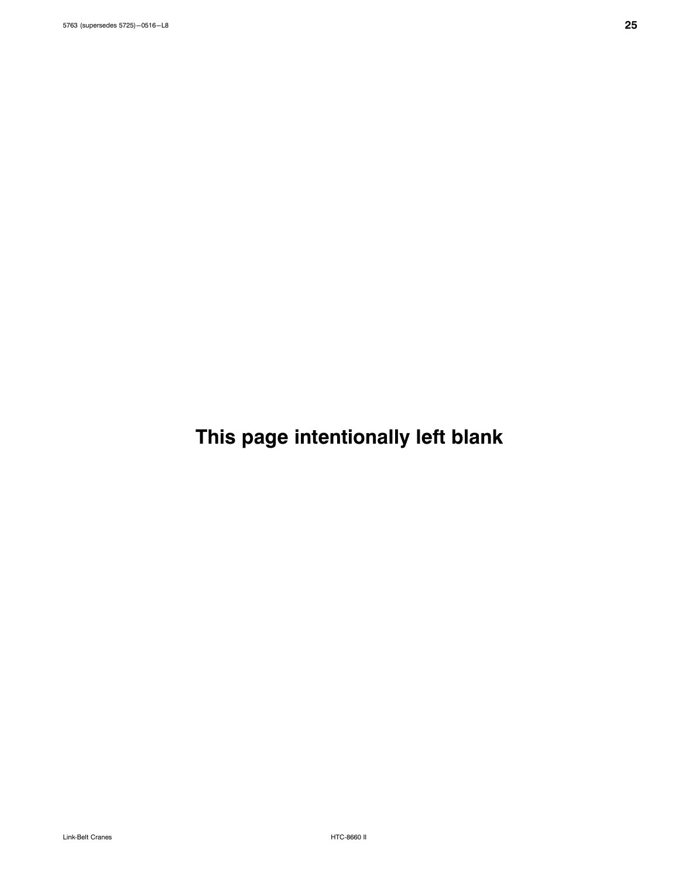**This page intentionally left blank**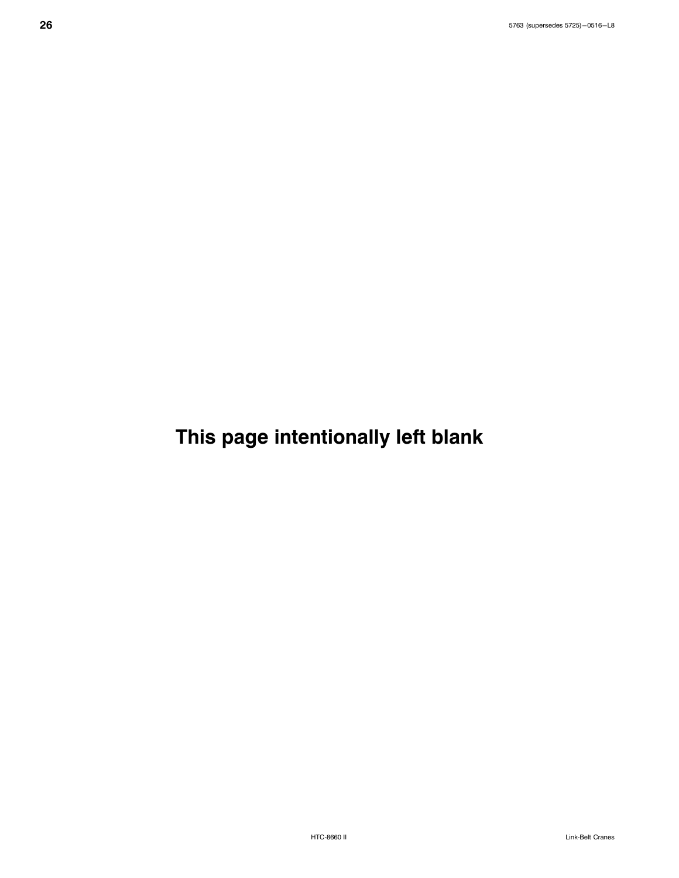## **This page intentionally left blank**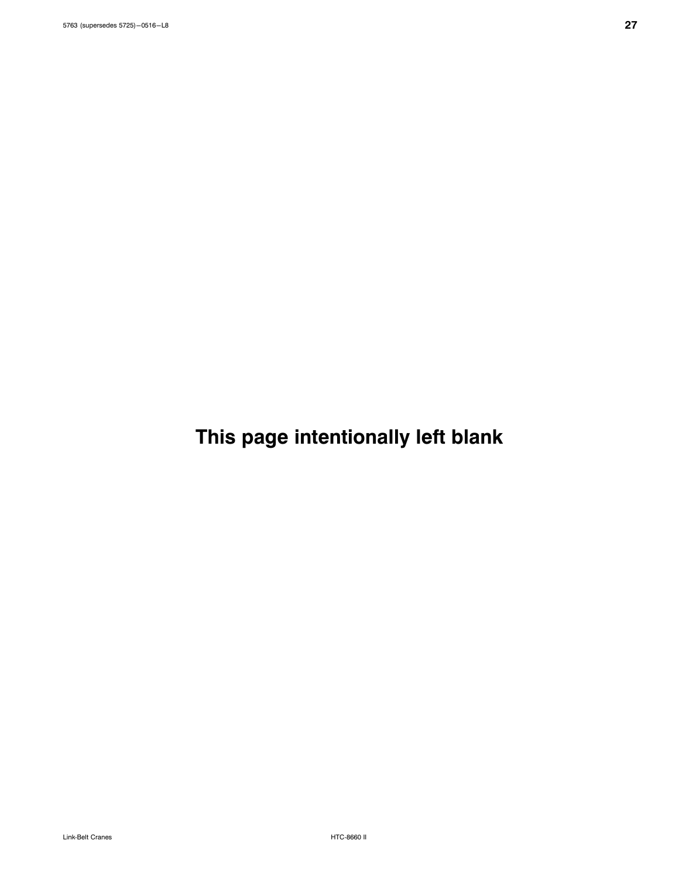**This page intentionally left blank**